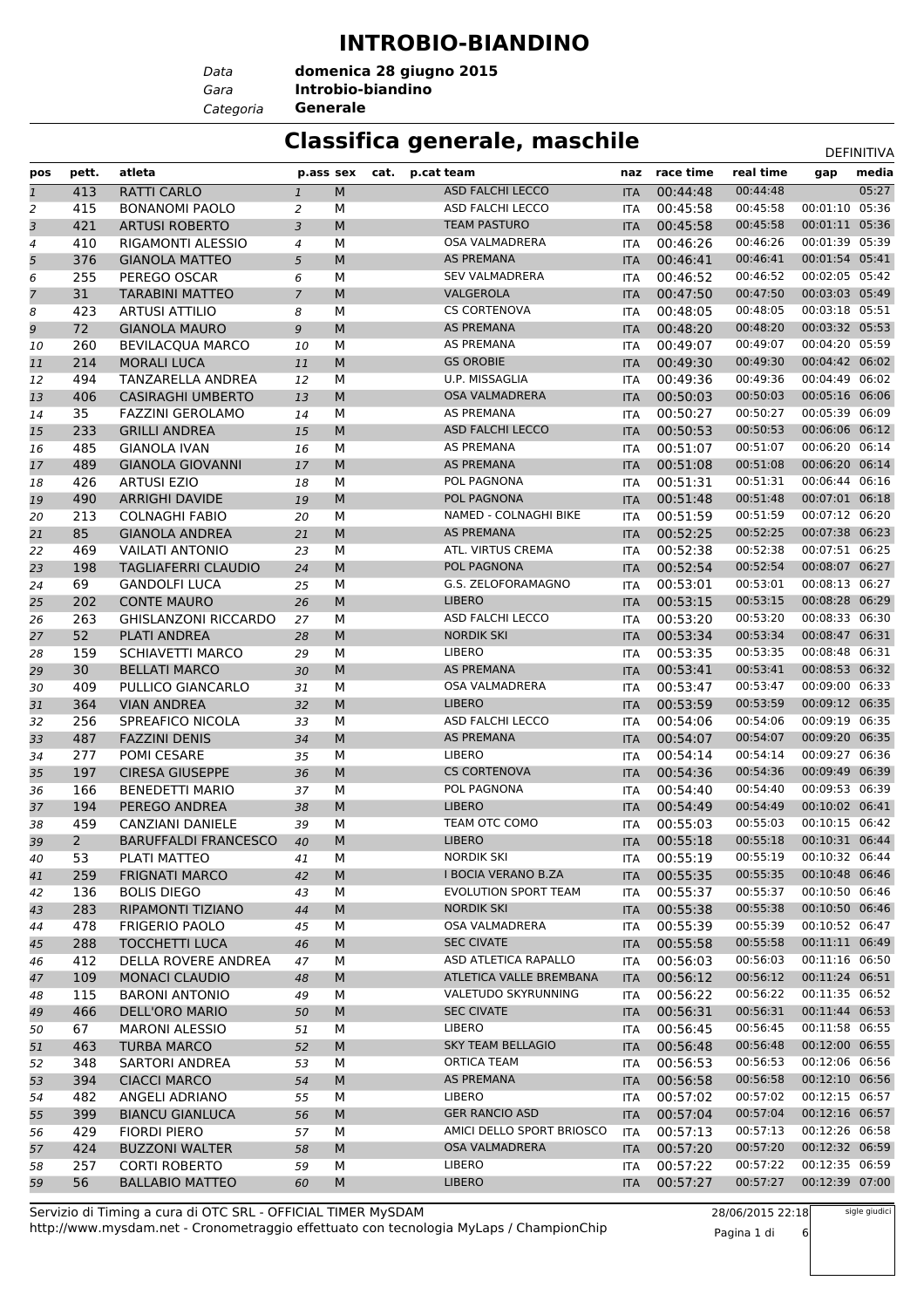### **INTROBIO-BIANDINO**

*Data Categoria* **Generale**

*Gara* **Introbio-biandino domenica 28 giugno 2015**

### **Classifica generale, maschile** Department of the DEFINITIVA

|                |                |                             |                |   |      |                            |            |           |           |                | <b>レヒ!!!!!!!!</b> |
|----------------|----------------|-----------------------------|----------------|---|------|----------------------------|------------|-----------|-----------|----------------|-------------------|
| pos            | pett.          | atleta                      | p.ass sex      |   | cat. | p.cat team                 | naz        | race time | real time | gap            | media             |
| $\mathbf{1}$   | 413            | <b>RATTI CARLO</b>          | $\mathbf{1}$   | M |      | <b>ASD FALCHI LECCO</b>    | <b>ITA</b> | 00:44:48  | 00:44:48  |                | 05:27             |
| $\overline{2}$ | 415            | <b>BONANOMI PAOLO</b>       | 2              | М |      | ASD FALCHI LECCO           | <b>ITA</b> | 00:45:58  | 00:45:58  | 00:01:10       | 05:36             |
| 3              | 421            | <b>ARTUSI ROBERTO</b>       | 3              | M |      | <b>TEAM PASTURO</b>        | <b>ITA</b> | 00:45:58  | 00:45:58  | 00:01:11 05:36 |                   |
| 4              | 410            | RIGAMONTI ALESSIO           | $\overline{4}$ | М |      | <b>OSA VALMADRERA</b>      | <b>ITA</b> | 00:46:26  | 00:46:26  | 00:01:39 05:39 |                   |
| 5              | 376            | <b>GIANOLA MATTEO</b>       | 5              | M |      | <b>AS PREMANA</b>          | <b>ITA</b> | 00:46:41  | 00:46:41  | 00:01:54 05:41 |                   |
| 6              | 255            | PEREGO OSCAR                | 6              | М |      | <b>SEV VALMADRERA</b>      | <b>ITA</b> | 00:46:52  | 00:46:52  | 00:02:05 05:42 |                   |
| 7              | 31             | <b>TARABINI MATTEO</b>      | $\overline{7}$ | M |      | VALGEROLA                  | <b>ITA</b> | 00:47:50  | 00:47:50  | 00:03:03 05:49 |                   |
| 8              | 423            | <b>ARTUSI ATTILIO</b>       | 8              | М |      | <b>CS CORTENOVA</b>        | <b>ITA</b> | 00:48:05  | 00:48:05  | 00:03:18 05:51 |                   |
| 9              | 72             | <b>GIANOLA MAURO</b>        | 9              | M |      | <b>AS PREMANA</b>          | <b>ITA</b> | 00:48:20  | 00:48:20  | 00:03:32 05:53 |                   |
| 10             | 260            | <b>BEVILACOUA MARCO</b>     | 10             | М |      | <b>AS PREMANA</b>          | <b>ITA</b> | 00:49:07  | 00:49:07  | 00:04:20 05:59 |                   |
| 11             | 214            | <b>MORALI LUCA</b>          | 11             | M |      | <b>GS OROBIE</b>           | <b>ITA</b> | 00:49:30  | 00:49:30  | 00:04:42 06:02 |                   |
| 12             | 494            | TANZARELLA ANDREA           | 12             | М |      | U.P. MISSAGLIA             | <b>ITA</b> | 00:49:36  | 00:49:36  | 00:04:49 06:02 |                   |
| 13             | 406            | <b>CASIRAGHI UMBERTO</b>    | 13             | M |      | <b>OSA VALMADRERA</b>      | <b>ITA</b> | 00:50:03  | 00:50:03  | 00:05:16 06:06 |                   |
| 14             | 35             | <b>FAZZINI GEROLAMO</b>     | 14             | М |      | <b>AS PREMANA</b>          | <b>ITA</b> | 00:50:27  | 00:50:27  | 00:05:39       | 06:09             |
| 15             | 233            | <b>GRILLI ANDREA</b>        | 15             | M |      | <b>ASD FALCHI LECCO</b>    | <b>ITA</b> | 00:50:53  | 00:50:53  | 00:06:06 06:12 |                   |
| 16             | 485            | <b>GIANOLA IVAN</b>         | 16             | М |      | <b>AS PREMANA</b>          | <b>ITA</b> | 00:51:07  | 00:51:07  | 00:06:20 06:14 |                   |
| 17             | 489            | <b>GIANOLA GIOVANNI</b>     | 17             | M |      | AS PREMANA                 | <b>ITA</b> | 00:51:08  | 00:51:08  | 00:06:20       | 06:14             |
| 18             | 426            | <b>ARTUSI EZIO</b>          | 18             | М |      | POL PAGNONA                | <b>ITA</b> | 00:51:31  | 00:51:31  | 00:06:44 06:16 |                   |
| 19             | 490            | <b>ARRIGHI DAVIDE</b>       | 19             | M |      | POL PAGNONA                | <b>ITA</b> | 00:51:48  | 00:51:48  | 00:07:01 06:18 |                   |
| 20             | 213            | <b>COLNAGHI FABIO</b>       | 20             | М |      | NAMED - COLNAGHI BIKE      | <b>ITA</b> | 00:51:59  | 00:51:59  | 00:07:12       | 06:20             |
| 21             | 85             | <b>GIANOLA ANDREA</b>       | 21             | M |      | <b>AS PREMANA</b>          | <b>ITA</b> | 00:52:25  | 00:52:25  | 00:07:38 06:23 |                   |
| 22             | 469            | <b>VAILATI ANTONIO</b>      | 23             | М |      | ATL. VIRTUS CREMA          | <b>ITA</b> | 00:52:38  | 00:52:38  | 00:07:51 06:25 |                   |
| 23             | 198            | <b>TAGLIAFERRI CLAUDIO</b>  | 24             | M |      | POL PAGNONA                | <b>ITA</b> | 00:52:54  | 00:52:54  | 00:08:07 06:27 |                   |
| 24             | 69             | <b>GANDOLFI LUCA</b>        | 25             | М |      | G.S. ZELOFORAMAGNO         | <b>ITA</b> | 00:53:01  | 00:53:01  | 00:08:13 06:27 |                   |
| 25             | 202            | <b>CONTE MAURO</b>          | 26             | M |      | <b>LIBERO</b>              | <b>ITA</b> | 00:53:15  | 00:53:15  | 00:08:28 06:29 |                   |
| 26             | 263            | <b>GHISLANZONI RICCARDO</b> | 27             | М |      | ASD FALCHI LECCO           | <b>ITA</b> | 00:53:20  | 00:53:20  | 00:08:33 06:30 |                   |
| 27             | 52             | PLATI ANDREA                | 28             | M |      | <b>NORDIK SKI</b>          | <b>ITA</b> | 00:53:34  | 00:53:34  | 00:08:47 06:31 |                   |
| 28             | 159            | <b>SCHIAVETTI MARCO</b>     | 29             | М |      | LIBERO                     | <b>ITA</b> | 00:53:35  | 00:53:35  | 00:08:48       | 06:31             |
| 29             | 30             | <b>BELLATI MARCO</b>        | 30             | M |      | <b>AS PREMANA</b>          | <b>ITA</b> | 00:53:41  | 00:53:41  | 00:08:53 06:32 |                   |
| 30             | 409            | PULLICO GIANCARLO           | 31             | М |      | OSA VALMADRERA             | <b>ITA</b> | 00:53:47  | 00:53:47  | 00:09:00 06:33 |                   |
| 31             | 364            | <b>VIAN ANDREA</b>          | 32             | M |      | <b>LIBERO</b>              | <b>ITA</b> | 00:53:59  | 00:53:59  | 00:09:12 06:35 |                   |
| 32             | 256            | SPREAFICO NICOLA            | 33             | М |      | ASD FALCHI LECCO           | <b>ITA</b> | 00:54:06  | 00:54:06  | 00:09:19       | 06:35             |
| 33             | 487            | <b>FAZZINI DENIS</b>        | 34             | M |      | <b>AS PREMANA</b>          | <b>ITA</b> | 00:54:07  | 00:54:07  | 00:09:20 06:35 |                   |
| 34             | 277            | POMI CESARE                 | 35             | М |      | LIBERO                     | <b>ITA</b> | 00:54:14  | 00:54:14  | 00:09:27 06:36 |                   |
| 35             | 197            | <b>CIRESA GIUSEPPE</b>      | 36             | M |      | <b>CS CORTENOVA</b>        | <b>ITA</b> | 00:54:36  | 00:54:36  | 00:09:49       | 06:39             |
| 36             | 166            | <b>BENEDETTI MARIO</b>      | 37             | М |      | POL PAGNONA                | <b>ITA</b> | 00:54:40  | 00:54:40  | 00:09:53 06:39 |                   |
| 37             | 194            | PEREGO ANDREA               | 38             | M |      | <b>LIBERO</b>              | <b>ITA</b> | 00:54:49  | 00:54:49  | 00:10:02       | 06:41             |
| 38             | 459            | CANZIANI DANIELE            | 39             | М |      | TEAM OTC COMO              | <b>ITA</b> | 00:55:03  | 00:55:03  | 00:10:15       | 06:42             |
| 39             | $\overline{2}$ | <b>BARUFFALDI FRANCESCO</b> | 40             | M |      | <b>LIBERO</b>              | <b>ITA</b> | 00:55:18  | 00:55:18  | 00:10:31 06:44 |                   |
| 40             | 53             | PLATI MATTEO                | 41             | М |      | <b>NORDIK SKI</b>          | ITA        | 00:55:19  | 00:55:19  | 00:10:32 06:44 |                   |
| 41             | 259            | <b>FRIGNATI MARCO</b>       | 42             | M |      | <b>I BOCIA VERANO B.ZA</b> | <b>ITA</b> | 00:55:35  | 00:55:35  | 00:10:48 06:46 |                   |
| 42             | 136            | <b>BOLIS DIEGO</b>          | 43             | М |      | EVOLUTION SPORT TEAM       | ITA        | 00:55:37  | 00:55:37  | 00:10:50 06:46 |                   |
| 43             | 283            | RIPAMONTI TIZIANO           | 44             | м |      | <b>NORDIK SKI</b>          | <b>ITA</b> | 00:55:38  | 00:55:38  | 00:10:50 06:46 |                   |
| 44             | 478            | <b>FRIGERIO PAOLO</b>       | 45             | м |      | OSA VALMADRERA             | ITA        | 00:55:39  | 00:55:39  | 00:10:52 06:47 |                   |
| 45             | 288            | <b>TOCCHETTI LUCA</b>       | 46             | M |      | <b>SEC CIVATE</b>          | <b>ITA</b> | 00:55:58  | 00:55:58  | 00:11:11 06:49 |                   |
| 46             | 412            | <b>DELLA ROVERE ANDREA</b>  | 47             | М |      | ASD ATLETICA RAPALLO       | <b>ITA</b> | 00:56:03  | 00:56:03  | 00:11:16 06:50 |                   |
| 47             | 109            | <b>MONACI CLAUDIO</b>       | 48             | M |      | ATLETICA VALLE BREMBANA    | <b>ITA</b> | 00:56:12  | 00:56:12  | 00:11:24 06:51 |                   |
| 48             | 115            | <b>BARONI ANTONIO</b>       | 49             | м |      | VALETUDO SKYRUNNING        | ITA        | 00:56:22  | 00:56:22  | 00:11:35 06:52 |                   |
| 49             | 466            | DELL'ORO MARIO              | 50             | M |      | <b>SEC CIVATE</b>          | <b>ITA</b> | 00:56:31  | 00:56:31  | 00:11:44 06:53 |                   |
| 50             | 67             | <b>MARONI ALESSIO</b>       | 51             | м |      | <b>LIBERO</b>              | ITA        | 00:56:45  | 00:56:45  | 00:11:58 06:55 |                   |
| 51             | 463            | <b>TURBA MARCO</b>          | 52             | M |      | <b>SKY TEAM BELLAGIO</b>   | <b>ITA</b> | 00:56:48  | 00:56:48  | 00:12:00 06:55 |                   |
| 52             | 348            | SARTORI ANDREA              | 53             | М |      | ORTICA TEAM                | <b>ITA</b> | 00:56:53  | 00:56:53  | 00:12:06 06:56 |                   |
| 53             | 394            | <b>CIACCI MARCO</b>         | 54             | М |      | AS PREMANA                 | <b>ITA</b> | 00:56:58  | 00:56:58  | 00:12:10 06:56 |                   |
| 54             | 482            | ANGELI ADRIANO              | 55             | М |      | <b>LIBERO</b>              | ITA        | 00:57:02  | 00:57:02  | 00:12:15 06:57 |                   |
| 55             | 399            | <b>BIANCU GIANLUCA</b>      | 56             | м |      | <b>GER RANCIO ASD</b>      | <b>ITA</b> | 00:57:04  | 00:57:04  | 00:12:16 06:57 |                   |
| 56             | 429            | <b>FIORDI PIERO</b>         | 57             | м |      | AMICI DELLO SPORT BRIOSCO  | ITA        | 00:57:13  | 00:57:13  | 00:12:26 06:58 |                   |
| 57             | 424            | <b>BUZZONI WALTER</b>       | 58             | M |      | OSA VALMADRERA             | <b>ITA</b> | 00:57:20  | 00:57:20  | 00:12:32 06:59 |                   |
| 58             | 257            | <b>CORTI ROBERTO</b>        | 59             | М |      | LIBERO                     | <b>ITA</b> | 00:57:22  | 00:57:22  | 00:12:35 06:59 |                   |
| 59             | 56             | <b>BALLABIO MATTEO</b>      | 60             | M |      | LIBERO                     | <b>ITA</b> | 00:57:27  | 00:57:27  | 00:12:39 07:00 |                   |
|                |                |                             |                |   |      |                            |            |           |           |                |                   |

http://www.mysdam.net - Cronometraggio effettuato con tecnologia MyLaps / ChampionChip Servizio di Timing a cura di OTC SRL - OFFICIAL TIMER MySDAM

28/06/2015 22:18 Pagina 1 di 6

sigle giudici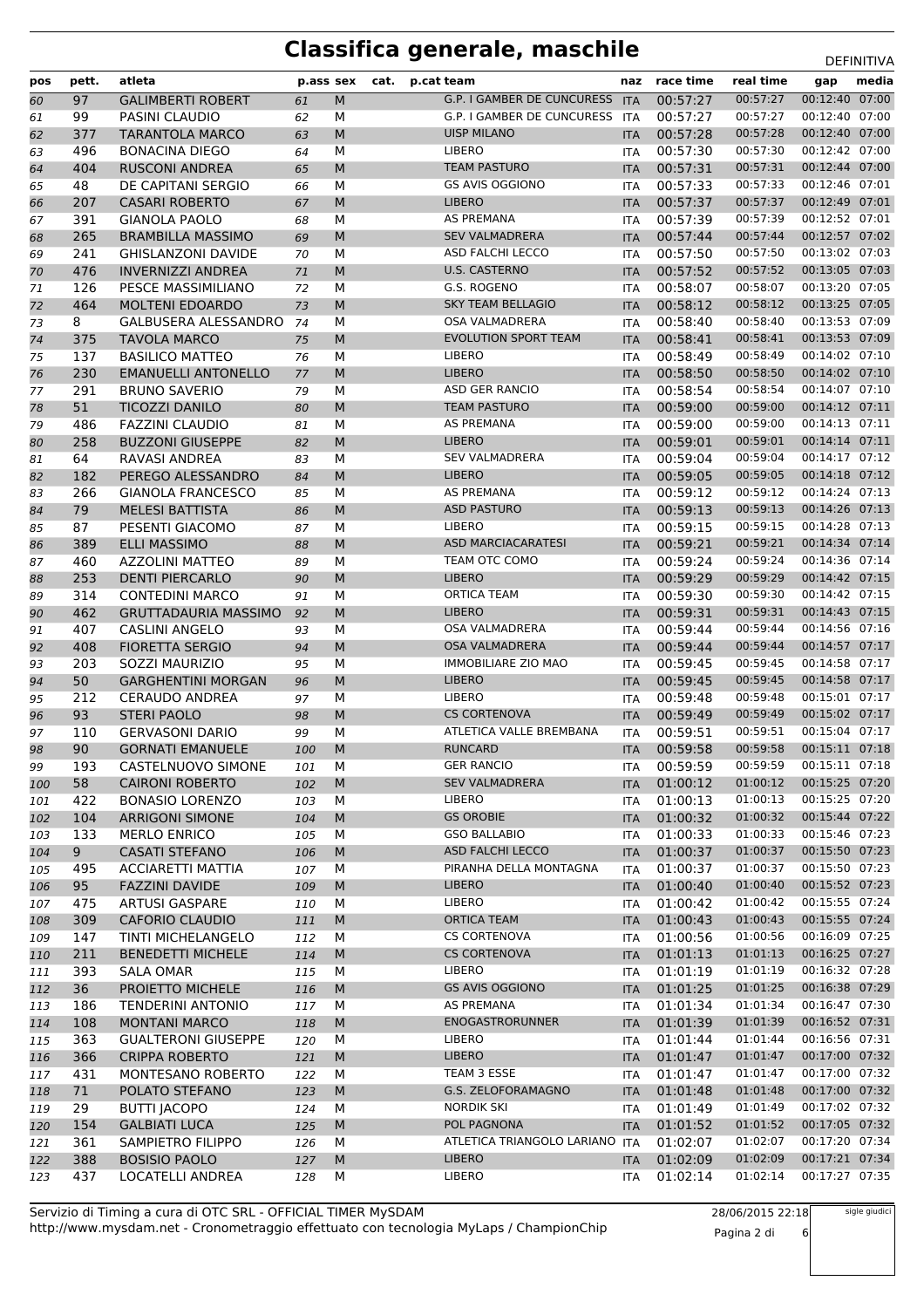| pos        | pett.      | atleta                                        | p.ass sex  |           | cat. | p.cat team                                        | naz                      | race time            | real time            | gap                              | media |
|------------|------------|-----------------------------------------------|------------|-----------|------|---------------------------------------------------|--------------------------|----------------------|----------------------|----------------------------------|-------|
| 60         | 97         | <b>GALIMBERTI ROBERT</b>                      | 61         | ${\sf M}$ |      | <b>G.P. I GAMBER DE CUNCURESS</b>                 | <b>ITA</b>               | 00:57:27             | 00:57:27             | 00:12:40                         | 07:00 |
| 61         | 99         | PASINI CLAUDIO                                | 62         | м         |      | G.P. I GAMBER DE CUNCURESS                        | <b>ITA</b>               | 00:57:27             | 00:57:27             | 00:12:40 07:00                   |       |
| 62         | 377        | <b>TARANTOLA MARCO</b>                        | 63         | M         |      | <b>UISP MILANO</b>                                | <b>ITA</b>               | 00:57:28             | 00:57:28             | 00:12:40 07:00                   |       |
| 63         | 496        | <b>BONACINA DIEGO</b>                         | 64         | М         |      | <b>LIBERO</b>                                     | <b>ITA</b>               | 00:57:30             | 00:57:30             | 00:12:42 07:00                   |       |
| 64         | 404        | <b>RUSCONI ANDREA</b>                         | 65         | M         |      | <b>TEAM PASTURO</b>                               | <b>ITA</b>               | 00:57:31             | 00:57:31             | 00:12:44 07:00                   |       |
| 65         | 48         | DE CAPITANI SERGIO                            | 66         | M         |      | <b>GS AVIS OGGIONO</b>                            | <b>ITA</b>               | 00:57:33             | 00:57:33             | 00:12:46 07:01                   |       |
| 66         | 207        | <b>CASARI ROBERTO</b>                         | 67         | M         |      | <b>LIBERO</b>                                     | <b>ITA</b>               | 00:57:37             | 00:57:37             | 00:12:49 07:01                   |       |
| 67         | 391        | <b>GIANOLA PAOLO</b>                          | 68         | М         |      | AS PREMANA                                        | <b>ITA</b>               | 00:57:39             | 00:57:39             | 00:12:52 07:01                   |       |
| 68         | 265        | <b>BRAMBILLA MASSIMO</b>                      | 69         | M         |      | <b>SEV VALMADRERA</b>                             | <b>ITA</b>               | 00:57:44             | 00:57:44             | 00:12:57 07:02                   |       |
| 69         | 241        | <b>GHISLANZONI DAVIDE</b>                     | 70         | M         |      | ASD FALCHI LECCO                                  | <b>ITA</b>               | 00:57:50             | 00:57:50             | 00:13:02 07:03                   |       |
| 70         | 476        | <b>INVERNIZZI ANDREA</b>                      | 71         | ${\sf M}$ |      | <b>U.S. CASTERNO</b><br>G.S. ROGENO               | <b>ITA</b>               | 00:57:52             | 00:57:52             | 00:13:05 07:03                   |       |
| 71         | 126        | PESCE MASSIMILIANO                            | 72         | M         |      |                                                   | <b>ITA</b>               | 00:58:07             | 00:58:07             | 00:13:20 07:05<br>00:13:25 07:05 |       |
| 72         | 464        | <b>MOLTENI EDOARDO</b>                        | 73         | M         |      | <b>SKY TEAM BELLAGIO</b><br><b>OSA VALMADRERA</b> | <b>ITA</b>               | 00:58:12             | 00:58:12<br>00:58:40 | 00:13:53 07:09                   |       |
| 73         | 8          | GALBUSERA ALESSANDRO                          | 74         | М         |      | <b>EVOLUTION SPORT TEAM</b>                       | <b>ITA</b>               | 00:58:40             | 00:58:41             | 00:13:53 07:09                   |       |
| 74         | 375<br>137 | <b>TAVOLA MARCO</b><br><b>BASILICO MATTEO</b> | 75         | M<br>М    |      | LIBERO                                            | <b>ITA</b>               | 00:58:41<br>00:58:49 | 00:58:49             | 00:14:02 07:10                   |       |
| 75         | 230        | <b>EMANUELLI ANTONELLO</b>                    | 76<br>77   | ${\sf M}$ |      | <b>LIBERO</b>                                     | <b>ITA</b><br><b>ITA</b> | 00:58:50             | 00:58:50             | 00:14:02 07:10                   |       |
| 76<br>77   | 291        | <b>BRUNO SAVERIO</b>                          | 79         | M         |      | ASD GER RANCIO                                    | <b>ITA</b>               | 00:58:54             | 00:58:54             | 00:14:07 07:10                   |       |
| 78         | 51         | <b>TICOZZI DANILO</b>                         | 80         | M         |      | <b>TEAM PASTURO</b>                               | <b>ITA</b>               | 00:59:00             | 00:59:00             | 00:14:12 07:11                   |       |
| 79         | 486        | <b>FAZZINI CLAUDIO</b>                        | 81         | M         |      | <b>AS PREMANA</b>                                 | <b>ITA</b>               | 00:59:00             | 00:59:00             | 00:14:13 07:11                   |       |
| 80         | 258        | <b>BUZZONI GIUSEPPE</b>                       | 82         | M         |      | <b>LIBERO</b>                                     | <b>ITA</b>               | 00:59:01             | 00:59:01             | 00:14:14 07:11                   |       |
| 81         | 64         | RAVASI ANDREA                                 | 83         | М         |      | <b>SEV VALMADRERA</b>                             | <b>ITA</b>               | 00:59:04             | 00:59:04             | 00:14:17 07:12                   |       |
| 82         | 182        | PEREGO ALESSANDRO                             | 84         | M         |      | <b>LIBERO</b>                                     | <b>ITA</b>               | 00:59:05             | 00:59:05             | 00:14:18 07:12                   |       |
| 83         | 266        | <b>GIANOLA FRANCESCO</b>                      | 85         | M         |      | AS PREMANA                                        | <b>ITA</b>               | 00:59:12             | 00:59:12             | 00:14:24 07:13                   |       |
| 84         | 79         | <b>MELESI BATTISTA</b>                        | 86         | M         |      | <b>ASD PASTURO</b>                                | <b>ITA</b>               | 00:59:13             | 00:59:13             | 00:14:26 07:13                   |       |
| 85         | 87         | PESENTI GIACOMO                               | 87         | М         |      | <b>LIBERO</b>                                     | <b>ITA</b>               | 00:59:15             | 00:59:15             | 00:14:28 07:13                   |       |
| 86         | 389        | <b>ELLI MASSIMO</b>                           | 88         | M         |      | <b>ASD MARCIACARATESI</b>                         | <b>ITA</b>               | 00:59:21             | 00:59:21             | 00:14:34 07:14                   |       |
| 87         | 460        | <b>AZZOLINI MATTEO</b>                        | 89         | М         |      | TEAM OTC COMO                                     | <b>ITA</b>               | 00:59:24             | 00:59:24             | 00:14:36 07:14                   |       |
| 88         | 253        | <b>DENTI PIERCARLO</b>                        | 90         | M         |      | <b>LIBERO</b>                                     | <b>ITA</b>               | 00:59:29             | 00:59:29             | 00:14:42 07:15                   |       |
| 89         | 314        | <b>CONTEDINI MARCO</b>                        | 91         | M         |      | <b>ORTICA TEAM</b>                                | ITA                      | 00:59:30             | 00:59:30             | 00:14:42 07:15                   |       |
| 90         | 462        | <b>GRUTTADAURIA MASSIMO</b>                   | 92         | M         |      | <b>LIBERO</b>                                     | <b>ITA</b>               | 00:59:31             | 00:59:31             | 00:14:43 07:15                   |       |
| 91         | 407        | <b>CASLINI ANGELO</b>                         | 93         | М         |      | OSA VALMADRERA                                    | <b>ITA</b>               | 00:59:44             | 00:59:44             | 00:14:56 07:16                   |       |
| 92         | 408        | <b>FIORETTA SERGIO</b>                        | 94         | M         |      | OSA VALMADRERA                                    | <b>ITA</b>               | 00:59:44             | 00:59:44             | 00:14:57 07:17                   |       |
| 93         | 203        | SOZZI MAURIZIO                                | 95         | М         |      | <b>IMMOBILIARE ZIO MAO</b>                        | <b>ITA</b>               | 00:59:45             | 00:59:45             | 00:14:58 07:17                   |       |
| 94         | 50         | <b>GARGHENTINI MORGAN</b>                     | 96         | M         |      | <b>LIBERO</b>                                     | <b>ITA</b>               | 00:59:45             | 00:59:45             | 00:14:58 07:17                   |       |
| 95         | 212        | <b>CERAUDO ANDREA</b>                         | 97         | M         |      | LIBERO                                            | <b>ITA</b>               | 00:59:48             | 00:59:48             | 00:15:01 07:17                   |       |
| 96         | 93         | <b>STERI PAOLO</b>                            | 98         | M         |      | <b>CS CORTENOVA</b>                               | <b>ITA</b>               | 00:59:49             | 00:59:49             | 00:15:02 07:17                   |       |
| 97         | 110        | <b>GERVASONI DARIO</b>                        | 99         | М         |      | ATLETICA VALLE BREMBANA                           | <b>ITA</b>               | 00:59:51             | 00:59:51             | 00:15:04 07:17                   |       |
| 98         | 90         | <b>GORNATI EMANUELE</b>                       | 100        | M         |      | <b>RUNCARD</b>                                    | <b>ITA</b>               | 00:59:58             | 00:59:58             | 00:15:11 07:18                   |       |
| 99         | 193        | CASTELNUOVO SIMONE                            | 101        | M         |      | <b>GER RANCIO</b>                                 | ITA.                     | 00:59:59             | 00:59:59             | 00:15:11 07:18                   |       |
| 100        | 58         | <b>CAIRONI ROBERTO</b>                        | 102        | M         |      | <b>SEV VALMADRERA</b>                             | <b>ITA</b>               | 01:00:12             | 01:00:12             | 00:15:25 07:20                   |       |
| 101        | 422        | <b>BONASIO LORENZO</b>                        | 103        | м         |      | <b>LIBERO</b>                                     | ITA                      | 01:00:13             | 01:00:13             | 00:15:25 07:20                   |       |
| 102        | 104        | <b>ARRIGONI SIMONE</b>                        | 104        | M         |      | <b>GS OROBIE</b>                                  | <b>ITA</b>               | 01:00:32             | 01:00:32             | 00:15:44 07:22                   |       |
| 103        | 133        | <b>MERLO ENRICO</b>                           | 105        | М         |      | <b>GSO BALLABIO</b>                               | ITA                      | 01:00:33             | 01:00:33             | 00:15:46 07:23                   |       |
| 104        | 9          | <b>CASATI STEFANO</b>                         | 106        | M         |      | <b>ASD FALCHI LECCO</b><br>PIRANHA DELLA MONTAGNA | <b>ITA</b>               | 01:00:37             | 01:00:37             | 00:15:50 07:23                   |       |
| 105        | 495        | <b>ACCIARETTI MATTIA</b>                      | 107        | м         |      | <b>LIBERO</b>                                     | ITA                      | 01:00:37             | 01:00:37<br>01:00:40 | 00:15:50 07:23<br>00:15:52 07:23 |       |
| 106<br>107 | 95<br>475  | <b>FAZZINI DAVIDE</b><br>ARTUSI GASPARE       | 109        | M<br>м    |      | LIBERO                                            | <b>ITA</b>               | 01:00:40<br>01:00:42 | 01:00:42             | 00:15:55 07:24                   |       |
| 108        | 309        | <b>CAFORIO CLAUDIO</b>                        | 110<br>111 | M         |      | <b>ORTICA TEAM</b>                                | ITA<br><b>ITA</b>        | 01:00:43             | 01:00:43             | 00:15:55 07:24                   |       |
| 109        | 147        | TINTI MICHELANGELO                            | 112        | М         |      | <b>CS CORTENOVA</b>                               | <b>ITA</b>               | 01:00:56             | 01:00:56             | 00:16:09 07:25                   |       |
| 110        | 211        | <b>BENEDETTI MICHELE</b>                      | 114        | M         |      | <b>CS CORTENOVA</b>                               | <b>ITA</b>               | 01:01:13             | 01:01:13             | 00:16:25 07:27                   |       |
| 111        | 393        | <b>SALA OMAR</b>                              | 115        | М         |      | <b>LIBERO</b>                                     | ITA                      | 01:01:19             | 01:01:19             | 00:16:32 07:28                   |       |
| 112        | 36         | PROIETTO MICHELE                              | 116        | M         |      | <b>GS AVIS OGGIONO</b>                            | <b>ITA</b>               | 01:01:25             | 01:01:25             | 00:16:38 07:29                   |       |
| 113        | 186        | <b>TENDERINI ANTONIO</b>                      | 117        | M         |      | AS PREMANA                                        | ITA                      | 01:01:34             | 01:01:34             | 00:16:47 07:30                   |       |
| 114        | 108        | <b>MONTANI MARCO</b>                          | 118        | M         |      | ENOGASTRORUNNER                                   | <b>ITA</b>               | 01:01:39             | 01:01:39             | 00:16:52 07:31                   |       |
| 115        | 363        | <b>GUALTERONI GIUSEPPE</b>                    | 120        | М         |      | <b>LIBERO</b>                                     | <b>ITA</b>               | 01:01:44             | 01:01:44             | 00:16:56 07:31                   |       |
| 116        | 366        | <b>CRIPPA ROBERTO</b>                         | 121        | M         |      | <b>LIBERO</b>                                     | <b>ITA</b>               | 01:01:47             | 01:01:47             | 00:17:00 07:32                   |       |
| 117        | 431        | MONTESANO ROBERTO                             | 122        | М         |      | TEAM 3 ESSE                                       | ITA                      | 01:01:47             | 01:01:47             | 00:17:00 07:32                   |       |
| 118        | 71         | POLATO STEFANO                                | 123        | M         |      | G.S. ZELOFORAMAGNO                                | <b>ITA</b>               | 01:01:48             | 01:01:48             | 00:17:00 07:32                   |       |
| 119        | 29         | <b>BUTTI JACOPO</b>                           | 124        | М         |      | <b>NORDIK SKI</b>                                 | ITA                      | 01:01:49             | 01:01:49             | 00:17:02 07:32                   |       |
| 120        | 154        | <b>GALBIATI LUCA</b>                          | 125        | M         |      | POL PAGNONA                                       | <b>ITA</b>               | 01:01:52             | 01:01:52             | 00:17:05 07:32                   |       |
| 121        | 361        | SAMPIETRO FILIPPO                             | 126        | М         |      | ATLETICA TRIANGOLO LARIANO ITA                    |                          | 01:02:07             | 01:02:07             | 00:17:20 07:34                   |       |
| 122        | 388        | <b>BOSISIO PAOLO</b>                          | 127        | M         |      | <b>LIBERO</b>                                     | <b>ITA</b>               | 01:02:09             | 01:02:09             | 00:17:21 07:34                   |       |
| 123        | 437        | LOCATELLI ANDREA                              | 128        | м         |      | LIBERO                                            | <b>ITA</b>               | 01:02:14             | 01:02:14             | 00:17:27 07:35                   |       |

http://www.mysdam.net - Cronometraggio effettuato con tecnologia MyLaps / ChampionChip Servizio di Timing a cura di OTC SRL - OFFICIAL TIMER MySDAM

28/06/2015 22:18 Pagina 2 di 6 sigle giudici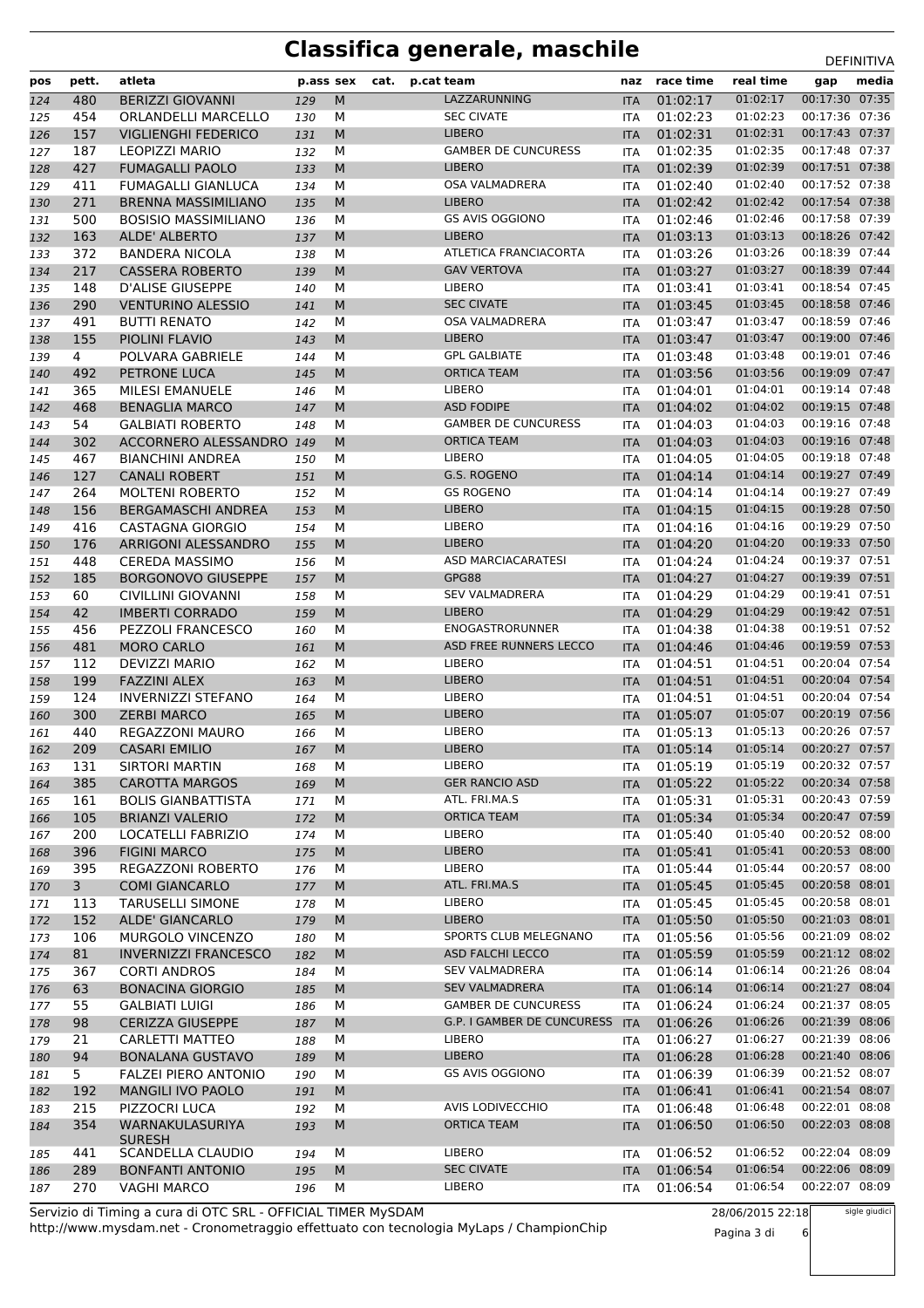| pos        | pett.          | atleta                                      | p.ass sex  |           | cat. | p.cat team                         | naz                      | race time            | real time            | gap                              | media |
|------------|----------------|---------------------------------------------|------------|-----------|------|------------------------------------|--------------------------|----------------------|----------------------|----------------------------------|-------|
| 124        | 480            | <b>BERIZZI GIOVANNI</b>                     | 129        | ${\sf M}$ |      | LAZZARUNNING                       | <b>ITA</b>               | 01:02:17             | 01:02:17             | 00:17:30 07:35                   |       |
| 125        | 454            | ORLANDELLI MARCELLO                         | 130        | м         |      | <b>SEC CIVATE</b>                  | <b>ITA</b>               | 01:02:23             | 01:02:23             | 00:17:36 07:36                   |       |
| 126        | 157            | <b>VIGLIENGHI FEDERICO</b>                  | 131        | M         |      | <b>LIBERO</b>                      | <b>ITA</b>               | 01:02:31             | 01:02:31             | 00:17:43 07:37                   |       |
| 127        | 187            | <b>LEOPIZZI MARIO</b>                       | 132        | M         |      | <b>GAMBER DE CUNCURESS</b>         | <b>ITA</b>               | 01:02:35             | 01:02:35             | 00:17:48 07:37                   |       |
| 128        | 427            | <b>FUMAGALLI PAOLO</b>                      | 133        | M         |      | <b>LIBERO</b>                      | <b>ITA</b>               | 01:02:39             | 01:02:39             | 00:17:51 07:38                   |       |
| 129        | 411            | <b>FUMAGALLI GIANLUCA</b>                   | 134        | М         |      | <b>OSA VALMADRERA</b>              | <b>ITA</b>               | 01:02:40             | 01:02:40             | 00:17:52 07:38                   |       |
| 130        | 271            | <b>BRENNA MASSIMILIANO</b>                  | 135        | M         |      | <b>LIBERO</b>                      | <b>ITA</b>               | 01:02:42             | 01:02:42             | 00:17:54 07:38                   |       |
| 131        | 500            | <b>BOSISIO MASSIMILIANO</b>                 | 136        | м         |      | <b>GS AVIS OGGIONO</b>             | <b>ITA</b>               | 01:02:46             | 01:02:46             | 00:17:58 07:39                   |       |
| 132        | 163            | ALDE' ALBERTO                               | 137        | M         |      | <b>LIBERO</b>                      | <b>ITA</b>               | 01:03:13             | 01:03:13             | 00:18:26 07:42                   |       |
| 133        | 372            | <b>BANDERA NICOLA</b>                       | 138        | M         |      | ATLETICA FRANCIACORTA              | <b>ITA</b>               | 01:03:26             | 01:03:26             | 00:18:39 07:44                   |       |
| 134        | 217            | <b>CASSERA ROBERTO</b>                      | 139        | M         |      | <b>GAV VERTOVA</b>                 | <b>ITA</b>               | 01:03:27             | 01:03:27             | 00:18:39 07:44                   |       |
| 135        | 148            | <b>D'ALISE GIUSEPPE</b>                     | 140        | м         |      | <b>LIBERO</b>                      | <b>ITA</b>               | 01:03:41             | 01:03:41             | 00:18:54 07:45                   |       |
| 136        | 290            | <b>VENTURINO ALESSIO</b>                    | 141        | M         |      | <b>SEC CIVATE</b>                  | <b>ITA</b>               | 01:03:45             | 01:03:45             | 00:18:58 07:46                   |       |
| 137        | 491            | <b>BUTTI RENATO</b>                         | 142        | м         |      | OSA VALMADRERA                     | <b>ITA</b>               | 01:03:47             | 01:03:47             | 00:18:59 07:46                   |       |
| 138        | 155            | PIOLINI FLAVIO                              | 143        | M         |      | <b>LIBERO</b>                      | <b>ITA</b>               | 01:03:47             | 01:03:47             | 00:19:00 07:46                   |       |
| 139        | $\overline{4}$ | POLVARA GABRIELE                            | 144        | м         |      | <b>GPL GALBIATE</b>                | <b>ITA</b>               | 01:03:48             | 01:03:48             | 00:19:01 07:46                   |       |
| 140        | 492            | PETRONE LUCA                                | 145        | M         |      | <b>ORTICA TEAM</b>                 | <b>ITA</b>               | 01:03:56             | 01:03:56             | 00:19:09 07:47                   |       |
| 141        | 365            | <b>MILESI EMANUELE</b>                      | 146        | м         |      | <b>LIBERO</b>                      | ITA                      | 01:04:01             | 01:04:01             | 00:19:14 07:48                   |       |
| 142        | 468            | <b>BENAGLIA MARCO</b>                       | 147        | M         |      | <b>ASD FODIPE</b>                  | <b>ITA</b>               | 01:04:02             | 01:04:02             | 00:19:15 07:48                   |       |
| 143        | 54             | <b>GALBIATI ROBERTO</b>                     | 148        | м         |      | <b>GAMBER DE CUNCURESS</b>         | <b>ITA</b>               | 01:04:03             | 01:04:03             | 00:19:16 07:48                   |       |
| 144        | 302            | ACCORNERO ALESSANDRO 149                    |            | M         |      | <b>ORTICA TEAM</b>                 | <b>ITA</b>               | 01:04:03             | 01:04:03             | 00:19:16 07:48                   |       |
| 145        | 467            | <b>BIANCHINI ANDREA</b>                     | 150        | M         |      | LIBERO                             | <b>ITA</b>               | 01:04:05             | 01:04:05             | 00:19:18 07:48                   |       |
| 146        | 127            | <b>CANALI ROBERT</b>                        | 151        | M         |      | G.S. ROGENO                        | <b>ITA</b>               | 01:04:14             | 01:04:14             | 00:19:27 07:49                   |       |
| 147        | 264            | <b>MOLTENI ROBERTO</b>                      | 152        | м         |      | <b>GS ROGENO</b>                   | <b>ITA</b>               | 01:04:14             | 01:04:14             | 00:19:27 07:49                   |       |
| 148        | 156            | <b>BERGAMASCHI ANDREA</b>                   | 153        | M         |      | <b>LIBERO</b>                      | <b>ITA</b>               | 01:04:15             | 01:04:15             | 00:19:28 07:50                   |       |
| 149        | 416            | CASTAGNA GIORGIO                            | 154        | м         |      | LIBERO                             | ITA                      | 01:04:16             | 01:04:16             | 00:19:29 07:50                   |       |
| 150        | 176            | ARRIGONI ALESSANDRO                         | 155        | M         |      | <b>LIBERO</b>                      | <b>ITA</b>               | 01:04:20             | 01:04:20             | 00:19:33 07:50                   |       |
| 151        | 448            | <b>CEREDA MASSIMO</b>                       | 156        | M         |      | <b>ASD MARCIACARATESI</b><br>GPG88 | ITA                      | 01:04:24             | 01:04:24             | 00:19:37 07:51<br>00:19:39 07:51 |       |
| 152        | 185            | <b>BORGONOVO GIUSEPPE</b>                   | 157        | M         |      | <b>SEV VALMADRERA</b>              | <b>ITA</b>               | 01:04:27             | 01:04:27<br>01:04:29 | 00:19:41 07:51                   |       |
| 153        | 60<br>42       | <b>CIVILLINI GIOVANNI</b>                   | 158        | м<br>M    |      | <b>LIBERO</b>                      | <b>ITA</b>               | 01:04:29<br>01:04:29 | 01:04:29             | 00:19:42 07:51                   |       |
| 154        | 456            | <b>IMBERTI CORRADO</b><br>PEZZOLI FRANCESCO | 159        | М         |      | ENOGASTRORUNNER                    | <b>ITA</b><br><b>ITA</b> | 01:04:38             | 01:04:38             | 00:19:51 07:52                   |       |
| 155<br>156 | 481            | <b>MORO CARLO</b>                           | 160<br>161 | M         |      | ASD FREE RUNNERS LECCO             | <b>ITA</b>               | 01:04:46             | 01:04:46             | 00:19:59 07:53                   |       |
| 157        | 112            | <b>DEVIZZI MARIO</b>                        | 162        | M         |      | LIBERO                             | ITA                      | 01:04:51             | 01:04:51             | 00:20:04 07:54                   |       |
| 158        | 199            | <b>FAZZINI ALEX</b>                         | 163        | M         |      | <b>LIBERO</b>                      | <b>ITA</b>               | 01:04:51             | 01:04:51             | 00:20:04 07:54                   |       |
| 159        | 124            | <b>INVERNIZZI STEFANO</b>                   | 164        | м         |      | LIBERO                             | ITA                      | 01:04:51             | 01:04:51             | 00:20:04 07:54                   |       |
| 160        | 300            | <b>ZERBI MARCO</b>                          | 165        | M         |      | <b>LIBERO</b>                      | <b>ITA</b>               | 01:05:07             | 01:05:07             | 00:20:19 07:56                   |       |
| 161        | 440            | <b>REGAZZONI MAURO</b>                      | 166        | м         |      | LIBERO                             | <b>ITA</b>               | 01:05:13             | 01:05:13             | 00:20:26 07:57                   |       |
| 162        | 209            | <b>CASARI EMILIO</b>                        | 167        | M         |      | <b>LIBERO</b>                      | <b>ITA</b>               | 01:05:14             | 01:05:14             | 00:20:27 07:57                   |       |
| 163        | 131            | <b>SIRTORI MARTIN</b>                       | 168        | ${\sf M}$ |      | LIBERO                             | ITA.                     | 01:05:19             | 01:05:19             | 00:20:32 07:57                   |       |
| 164        | 385            | <b>CAROTTA MARGOS</b>                       | 169        | M         |      | <b>GER RANCIO ASD</b>              | <b>ITA</b>               | 01:05:22             | 01:05:22             | 00:20:34 07:58                   |       |
| 165        | 161            | <b>BOLIS GIANBATTISTA</b>                   | 171        | м         |      | ATL. FRI.MA.S                      | ITA                      | 01:05:31             | 01:05:31             | 00:20:43 07:59                   |       |
| 166        | 105            | <b>BRIANZI VALERIO</b>                      | 172        | M         |      | <b>ORTICA TEAM</b>                 | <b>ITA</b>               | 01:05:34             | 01:05:34             | 00:20:47 07:59                   |       |
| 167        | 200            | LOCATELLI FABRIZIO                          | 174        | М         |      | <b>LIBERO</b>                      | ITA                      | 01:05:40             | 01:05:40             | 00:20:52 08:00                   |       |
| 168        | 396            | <b>FIGINI MARCO</b>                         | 175        | M         |      | <b>LIBERO</b>                      | <b>ITA</b>               | 01:05:41             | 01:05:41             | 00:20:53 08:00                   |       |
| 169        | 395            | REGAZZONI ROBERTO                           | 176        | М         |      | <b>LIBERO</b>                      | <b>ITA</b>               | 01:05:44             | 01:05:44             | 00:20:57 08:00                   |       |
| 170        | 3 <sup>7</sup> | <b>COMI GIANCARLO</b>                       | 177        | M         |      | ATL. FRI.MA.S                      | <b>ITA</b>               | 01:05:45             | 01:05:45             | 00:20:58 08:01                   |       |
| 171        | 113            | <b>TARUSELLI SIMONE</b>                     | 178        | м         |      | LIBERO                             | ITA                      | 01:05:45             | 01:05:45             | 00:20:58 08:01                   |       |
| 172        | 152            | ALDE' GIANCARLO                             | 179        | M         |      | <b>LIBERO</b>                      | <b>ITA</b>               | 01:05:50             | 01:05:50             | 00:21:03 08:01                   |       |
| 173        | 106            | MURGOLO VINCENZO                            | 180        | М         |      | SPORTS CLUB MELEGNANO              | ITA                      | 01:05:56             | 01:05:56             | 00:21:09 08:02                   |       |
| 174        | 81             | <b>INVERNIZZI FRANCESCO</b>                 | 182        | M         |      | <b>ASD FALCHI LECCO</b>            | <b>ITA</b>               | 01:05:59             | 01:05:59             | 00:21:12 08:02                   |       |
| 175        | 367            | <b>CORTI ANDROS</b>                         | 184        | М         |      | <b>SEV VALMADRERA</b>              | ITA                      | 01:06:14             | 01:06:14             | 00:21:26 08:04                   |       |
| 176        | 63             | <b>BONACINA GIORGIO</b>                     | 185        | M         |      | <b>SEV VALMADRERA</b>              | <b>ITA</b>               | 01:06:14             | 01:06:14             | 00:21:27 08:04                   |       |
| 177        | 55             | <b>GALBIATI LUIGI</b>                       | 186        | м         |      | <b>GAMBER DE CUNCURESS</b>         | ITA                      | 01:06:24             | 01:06:24             | 00:21:37 08:05                   |       |
| 178        | 98             | <b>CERIZZA GIUSEPPE</b>                     | 187        | M         |      | G.P. I GAMBER DE CUNCURESS         | <b>ITA</b>               | 01:06:26             | 01:06:26             | 00:21:39 08:06                   |       |
| 179        | 21             | CARLETTI MATTEO                             | 188        | М         |      | LIBERO                             | <b>ITA</b>               | 01:06:27             | 01:06:27             | 00:21:39 08:06                   |       |
| 180        | 94             | <b>BONALANA GUSTAVO</b>                     | 189        | M         |      | <b>LIBERO</b>                      | <b>ITA</b>               | 01:06:28             | 01:06:28             | 00:21:40 08:06                   |       |
| 181        | 5 <sub>1</sub> | <b>FALZEI PIERO ANTONIO</b>                 | 190        | М         |      | <b>GS AVIS OGGIONO</b>             | ITA                      | 01:06:39             | 01:06:39             | 00:21:52 08:07                   |       |
| 182        | 192            | MANGILI IVO PAOLO                           | 191        | M         |      |                                    | <b>ITA</b>               | 01:06:41             | 01:06:41             | 00:21:54 08:07                   |       |
| 183        | 215            | PIZZOCRI LUCA                               | 192        | м         |      | AVIS LODIVECCHIO                   | ITA                      | 01:06:48             | 01:06:48             | 00:22:01 08:08                   |       |
| 184        | 354            | WARNAKULASURIYA                             | 193        | M         |      | <b>ORTICA TEAM</b>                 | <b>ITA</b>               | 01:06:50             | 01:06:50             | 00:22:03 08:08                   |       |
| 185        | 441            | <b>SURESH</b><br>SCANDELLA CLAUDIO          | 194        | M         |      | LIBERO                             | <b>ITA</b>               | 01:06:52             | 01:06:52             | 00:22:04 08:09                   |       |
| 186        | 289            | <b>BONFANTI ANTONIO</b>                     | 195        | M         |      | <b>SEC CIVATE</b>                  | <b>ITA</b>               | 01:06:54             | 01:06:54             | 00:22:06 08:09                   |       |
| 187        | 270            | <b>VAGHI MARCO</b>                          | 196        | М         |      | LIBERO                             | ITA                      | 01:06:54             | 01:06:54             | 00:22:07 08:09                   |       |
|            |                |                                             |            |           |      |                                    |                          |                      |                      |                                  |       |

http://www.mysdam.net - Cronometraggio effettuato con tecnologia MyLaps / ChampionChip Servizio di Timing a cura di OTC SRL - OFFICIAL TIMER MySDAM

28/06/2015 22:18

Pagina 3 di 6

sigle giudici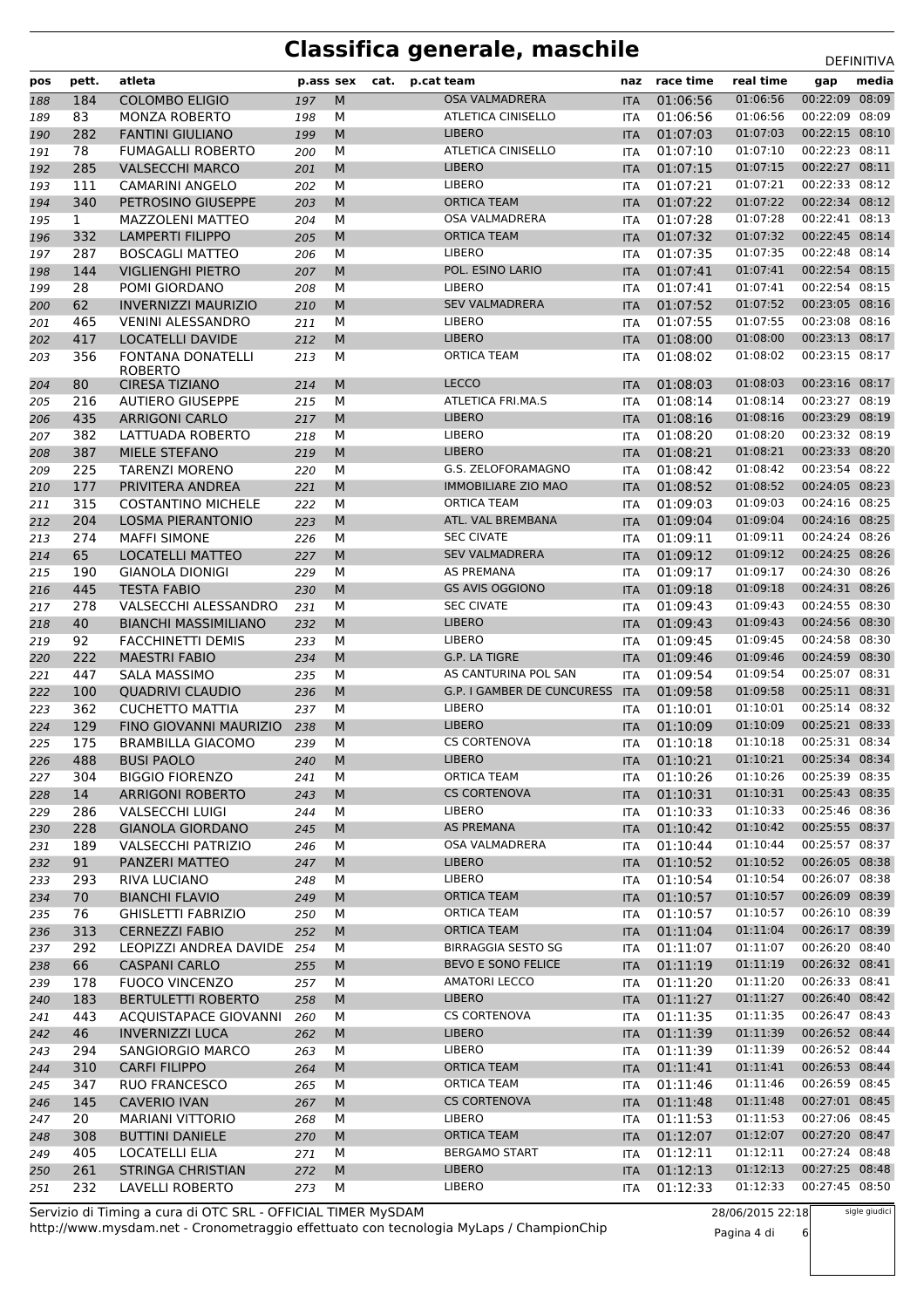| 00:22:09 08:09<br><b>OSA VALMADRERA</b><br>01:06:56<br><b>COLOMBO ELIGIO</b><br>M<br>01:06:56<br>184<br>197<br><b>ITA</b><br>188<br>00:22:09 08:09<br>83<br><b>ATLETICA CINISELLO</b><br>01:06:56<br>01:06:56<br><b>MONZA ROBERTO</b><br>198<br>М<br>189<br><b>ITA</b><br>00:22:15 08:10<br><b>LIBERO</b><br>01:07:03<br>282<br>M<br>01:07:03<br>190<br><b>FANTINI GIULIANO</b><br>199<br><b>ITA</b><br>00:22:23 08:11<br><b>ATLETICA CINISELLO</b><br>01:07:10<br>78<br>M<br>01:07:10<br><b>FUMAGALLI ROBERTO</b><br>191<br>200<br><b>ITA</b><br>00:22:27 08:11<br>285<br><b>VALSECCHI MARCO</b><br>M<br><b>LIBERO</b><br>01:07:15<br>01:07:15<br>192<br><b>ITA</b><br>201<br><b>LIBERO</b><br>00:22:33 08:12<br>01:07:21<br>01:07:21<br>111<br><b>CAMARINI ANGELO</b><br>M<br>193<br>202<br><b>ITA</b><br>00:22:34 08:12<br><b>ORTICA TEAM</b><br>01:07:22<br>340<br>M<br>01:07:22<br>194<br>PETROSINO GIUSEPPE<br>203<br><b>ITA</b><br>00:22:41 08:13<br>$\mathbf{1}$<br><b>OSA VALMADRERA</b><br>01:07:28<br>01:07:28<br><b>MAZZOLENI MATTEO</b><br>М<br>195<br>204<br><b>ITA</b><br>00:22:45 08:14<br><b>ORTICA TEAM</b><br>01:07:32<br>332<br><b>LAMPERTI FILIPPO</b><br>M<br>01:07:32<br>196<br>205<br><b>ITA</b><br>00:22:48 08:14<br><b>LIBERO</b><br>01:07:35<br>287<br>M<br>01:07:35<br><b>BOSCAGLI MATTEO</b><br>197<br>206<br><b>ITA</b><br>144<br><b>VIGLIENGHI PIETRO</b><br>M<br>POL. ESINO LARIO<br>01:07:41<br>01:07:41<br>00:22:54 08:15<br>198<br><b>ITA</b><br>207<br>00:22:54 08:15<br>LIBERO<br>01:07:41<br>01:07:41<br>28<br>POMI GIORDANO<br>M<br>199<br><b>ITA</b><br>208<br>00:23:05 08:16<br><b>SEV VALMADRERA</b><br>01:07:52<br>62<br><b>INVERNIZZI MAURIZIO</b><br>M<br>01:07:52<br><b>ITA</b><br>200<br>210<br>00:23:08 08:16<br>465<br><b>LIBERO</b><br>01:07:55<br>01:07:55<br><b>VENINI ALESSANDRO</b><br>м<br>201<br>211<br><b>ITA</b><br><b>LIBERO</b><br>01:08:00<br>00:23:13 08:17<br>417<br><b>LOCATELLI DAVIDE</b><br>M<br>01:08:00<br>202<br>212<br><b>ITA</b><br>00:23:15 08:17<br>356<br><b>ORTICA TEAM</b><br>01:08:02<br>01:08:02<br>FONTANA DONATELLI<br>М<br>203<br>213<br><b>ITA</b><br><b>ROBERTO</b><br><b>LECCO</b><br>00:23:16 08:17<br>80<br><b>CIRESA TIZIANO</b><br>M<br>01:08:03<br>01:08:03<br>204<br>214<br><b>ITA</b><br>00:23:27 08:19<br>M<br>ATLETICA FRI.MA.S<br>01:08:14<br>01:08:14<br>216<br><b>AUTIERO GIUSEPPE</b><br>205<br>215<br><b>ITA</b><br><b>LIBERO</b><br>01:08:16<br>00:23:29 08:19<br>435<br>M<br>01:08:16<br>206<br><b>ARRIGONI CARLO</b><br><b>ITA</b><br>217<br><b>LIBERO</b><br>00:23:32 08:19<br>382<br>M<br>01:08:20<br>01:08:20<br>LATTUADA ROBERTO<br>207<br>218<br><b>ITA</b><br>00:23:33 08:20<br>387<br>MIELE STEFANO<br>M<br><b>LIBERO</b><br>01:08:21<br>01:08:21<br>208<br>219<br><b>ITA</b><br>00:23:54 08:22<br>G.S. ZELOFORAMAGNO<br>01:08:42<br>225<br><b>TARENZI MORENO</b><br>M<br>01:08:42<br>209<br><b>ITA</b><br>220<br>${\sf M}$<br>00:24:05 08:23<br>177<br>PRIVITERA ANDREA<br><b>IMMOBILIARE ZIO MAO</b><br>01:08:52<br>01:08:52<br>210<br>221<br><b>ITA</b><br>00:24:16 08:25<br>315<br>M<br><b>ORTICA TEAM</b><br>01:09:03<br>01:09:03<br><b>COSTANTINO MICHELE</b><br>222<br>211<br><b>ITA</b><br>ATL. VAL BREMBANA<br>01:09:04<br>00:24:16 08:25<br>204<br><b>LOSMA PIERANTONIO</b><br>M<br>01:09:04<br>212<br><b>ITA</b><br>223<br>00:24:24 08:26<br>274<br>M<br><b>SEC CIVATE</b><br>01:09:11<br>01:09:11<br><b>MAFFI SIMONE</b><br>213<br>226<br><b>ITA</b><br>00:24:25 08:26<br>65<br>M<br><b>SEV VALMADRERA</b><br>01:09:12<br>01:09:12<br>LOCATELLI MATTEO<br>214<br>227<br><b>ITA</b><br>00:24:30 08:26<br><b>AS PREMANA</b><br>01:09:17<br>190<br>01:09:17<br>215<br><b>GIANOLA DIONIGI</b><br>М<br>229<br><b>ITA</b><br>00:24:31 08:26<br>445<br><b>TESTA FABIO</b><br>M<br><b>GS AVIS OGGIONO</b><br>01:09:18<br>01:09:18<br>216<br>230<br><b>ITA</b><br><b>SEC CIVATE</b><br>00:24:55 08:30<br>278<br>VALSECCHI ALESSANDRO<br>M<br>01:09:43<br>01:09:43<br>217<br>231<br><b>ITA</b><br><b>LIBERO</b><br>01:09:43<br>00:24:56 08:30<br>40<br><b>BIANCHI MASSIMILIANO</b><br>M<br>01:09:43<br>218<br>232<br><b>ITA</b><br><b>LIBERO</b><br>00:24:58 08:30<br>92<br>M<br>01:09:45<br>01:09:45<br><b>FACCHINETTI DEMIS</b><br>219<br>233<br><b>ITA</b><br>222<br><b>MAESTRI FABIO</b><br>M<br>G.P. LA TIGRE<br>01:09:46<br>01:09:46<br>00:24:59 08:30<br>220<br>234<br><b>ITA</b><br>AS CANTURINA POL SAN<br>01:09:54<br>00:25:07 08:31<br>447<br><b>SALA MASSIMO</b><br>01:09:54<br>221<br>м<br><b>ITA</b><br>235<br>00:25:11 08:31<br>100<br>M<br><b>G.P. I GAMBER DE CUNCURESS</b><br>01:09:58<br>01:09:58<br>222<br><b>QUADRIVI CLAUDIO</b><br><b>ITA</b><br>236<br>00:25:14 08:32<br>LIBERO<br>01:10:01<br>362<br><b>CUCHETTO MATTIA</b><br>М<br>01:10:01<br>223<br>237<br><b>ITA</b><br><b>LIBERO</b><br>00:25:21 08:33<br>129<br>FINO GIOVANNI MAURIZIO<br>M<br>01:10:09<br>01:10:09<br>224<br>238<br><b>ITA</b><br><b>CS CORTENOVA</b><br>00:25:31 08:34<br>175<br>M<br>01:10:18<br>225<br>BRAMBILLA GIACOMO<br>01:10:18<br>239<br><b>ITA</b><br>00:25:34 08:34<br><b>LIBERO</b><br>01:10:21<br>488<br><b>BUSI PAOLO</b><br>${\sf M}$<br>01:10:21<br>226<br>240<br><b>ITA</b><br><b>ORTICA TEAM</b><br>00:25:39 08:35<br><b>BIGGIO FIORENZO</b><br>01:10:26<br>01:10:26<br>304<br>М<br>227<br>241<br>ITA.<br>00:25:43 08:35<br><b>CS CORTENOVA</b><br>01:10:31<br>01:10:31<br>14<br><b>ARRIGONI ROBERTO</b><br>243<br>M<br>228<br><b>ITA</b><br>00:25:46 08:36<br><b>LIBERO</b><br>01:10:33<br>01:10:33<br>229<br>286<br><b>VALSECCHI LUIGI</b><br>М<br>244<br>ITA<br><b>AS PREMANA</b><br>00:25:55 08:37<br>228<br>M<br>01:10:42<br>01:10:42<br><b>GIANOLA GIORDANO</b><br>245<br>230<br><b>ITA</b><br>00:25:57 08:37<br>189<br>OSA VALMADRERA<br>01:10:44<br>01:10:44<br><b>VALSECCHI PATRIZIO</b><br>М<br>231<br>246<br>ITA<br><b>LIBERO</b><br>01:10:52<br>00:26:05 08:38<br>91<br>M<br>01:10:52<br>232<br>PANZERI MATTEO<br>247<br><b>ITA</b><br>LIBERO<br>00:26:07 08:38<br>01:10:54<br>01:10:54<br>233<br>293<br>RIVA LUCIANO<br>248<br>м<br>ITA<br><b>ORTICA TEAM</b><br>01:10:57<br>01:10:57<br>00:26:09 08:39<br>234<br>70<br><b>BIANCHI FLAVIO</b><br>M<br>249<br><b>ITA</b><br>00:26:10 08:39<br>01:10:57<br>76<br>ORTICA TEAM<br>01:10:57<br><b>GHISLETTI FABRIZIO</b><br>М<br>235<br>250<br>ITA<br>00:26:17 08:39<br>313<br><b>CERNEZZI FABIO</b><br>M<br>ORTICA TEAM<br>01:11:04<br>01:11:04<br>236<br>252<br><b>ITA</b><br>00:26:20 08:40<br><b>BIRRAGGIA SESTO SG</b><br>01:11:07<br>01:11:07<br>292<br>LEOPIZZI ANDREA DAVIDE<br>М<br>237<br>254<br>ITA<br>BEVO E SONO FELICE<br>01:11:19<br>00:26:32 08:41<br>66<br>01:11:19<br>238<br><b>CASPANI CARLO</b><br>M<br>255<br><b>ITA</b><br>00:26:33 08:41<br><b>AMATORI LECCO</b><br>01:11:20<br>01:11:20<br>178<br><b>FUOCO VINCENZO</b><br>239<br>257<br>м<br><b>ITA</b><br>00:26:40 08:42<br>183<br><b>LIBERO</b><br>01:11:27<br>01:11:27<br><b>BERTULETTI ROBERTO</b><br>M<br>240<br>258<br><b>ITA</b><br><b>CS CORTENOVA</b><br>01:11:35<br>00:26:47 08:43<br>443<br>01:11:35<br><b>ACQUISTAPACE GIOVANNI</b><br>260<br>М<br>241<br>ITA<br>00:26:52 08:44<br>46<br><b>INVERNIZZI LUCA</b><br>M<br><b>LIBERO</b><br>01:11:39<br>01:11:39<br>242<br>262<br><b>ITA</b><br>LIBERO<br>01:11:39<br>01:11:39<br>00:26:52 08:44<br>294<br>М<br>SANGIORGIO MARCO<br>243<br>263<br><b>ITA</b><br>00:26:53 08:44<br><b>ORTICA TEAM</b><br>01:11:41<br>310<br><b>CARFI FILIPPO</b><br>01:11:41<br>244<br>264<br>M<br><b>ITA</b><br>00:26:59 08:45<br>ORTICA TEAM<br>01:11:46<br>01:11:46<br>347<br><b>RUO FRANCESCO</b><br>245<br>265<br>м<br><b>ITA</b><br>145<br><b>CS CORTENOVA</b><br>01:11:48<br>01:11:48<br>00:27:01 08:45<br><b>CAVERIO IVAN</b><br>M<br>246<br>267<br><b>ITA</b><br>00:27:06 08:45<br>LIBERO<br>01:11:53<br>20<br>01:11:53<br><b>MARIANI VITTORIO</b><br>М<br>247<br>268<br>ITA<br><b>ORTICA TEAM</b><br>01:12:07<br>01:12:07<br>00:27:20 08:47<br>248<br>308<br><b>BUTTINI DANIELE</b><br>M<br>270<br><b>ITA</b><br>00:27:24 08:48<br><b>BERGAMO START</b><br>01:12:11<br>01:12:11<br>405<br>LOCATELLI ELIA<br>м<br>249<br>271<br>ITA<br>00:27:25 08:48 | pos | pett. | atleta                   | p.ass sex |   | cat. | p.cat team    | naz        | race time | real time | gap | media |
|--------------------------------------------------------------------------------------------------------------------------------------------------------------------------------------------------------------------------------------------------------------------------------------------------------------------------------------------------------------------------------------------------------------------------------------------------------------------------------------------------------------------------------------------------------------------------------------------------------------------------------------------------------------------------------------------------------------------------------------------------------------------------------------------------------------------------------------------------------------------------------------------------------------------------------------------------------------------------------------------------------------------------------------------------------------------------------------------------------------------------------------------------------------------------------------------------------------------------------------------------------------------------------------------------------------------------------------------------------------------------------------------------------------------------------------------------------------------------------------------------------------------------------------------------------------------------------------------------------------------------------------------------------------------------------------------------------------------------------------------------------------------------------------------------------------------------------------------------------------------------------------------------------------------------------------------------------------------------------------------------------------------------------------------------------------------------------------------------------------------------------------------------------------------------------------------------------------------------------------------------------------------------------------------------------------------------------------------------------------------------------------------------------------------------------------------------------------------------------------------------------------------------------------------------------------------------------------------------------------------------------------------------------------------------------------------------------------------------------------------------------------------------------------------------------------------------------------------------------------------------------------------------------------------------------------------------------------------------------------------------------------------------------------------------------------------------------------------------------------------------------------------------------------------------------------------------------------------------------------------------------------------------------------------------------------------------------------------------------------------------------------------------------------------------------------------------------------------------------------------------------------------------------------------------------------------------------------------------------------------------------------------------------------------------------------------------------------------------------------------------------------------------------------------------------------------------------------------------------------------------------------------------------------------------------------------------------------------------------------------------------------------------------------------------------------------------------------------------------------------------------------------------------------------------------------------------------------------------------------------------------------------------------------------------------------------------------------------------------------------------------------------------------------------------------------------------------------------------------------------------------------------------------------------------------------------------------------------------------------------------------------------------------------------------------------------------------------------------------------------------------------------------------------------------------------------------------------------------------------------------------------------------------------------------------------------------------------------------------------------------------------------------------------------------------------------------------------------------------------------------------------------------------------------------------------------------------------------------------------------------------------------------------------------------------------------------------------------------------------------------------------------------------------------------------------------------------------------------------------------------------------------------------------------------------------------------------------------------------------------------------------------------------------------------------------------------------------------------------------------------------------------------------------------------------------------------------------------------------------------------------------------------------------------------------------------------------------------------------------------------------------------------------------------------------------------------------------------------------------------------------------------------------------------------------------------------------------------------------------------------------------------------------------------------------------------------------------------------------------------------------------------------------------------------------------------------------------------------------------------------------------------------------------------------------------------------------------------------------------------------------------------------------------------------------------------------------------------------------------------------------------------------------------------------------------------------------------------------------------------------------------------------------------------------------------------------------------------------------------------------------------------------------------------------------------------------------------------------------------------------------------------------------------------------------------------------------------------------------------------------------------------------------------------------------------------------------------------------------------------------------------------------------------------------------------------------------------------------------------------------------------------------------------------------------------------------------------------------------------------------------------------------------------------------------------------------------------------------------------------------------------------------------------------------------------------------------------------------------------------------------------------------------------------------------------------------------------------------------------------------------------------------------------------------------------------------------------------------------------------------------------------------------------------------|-----|-------|--------------------------|-----------|---|------|---------------|------------|-----------|-----------|-----|-------|
|                                                                                                                                                                                                                                                                                                                                                                                                                                                                                                                                                                                                                                                                                                                                                                                                                                                                                                                                                                                                                                                                                                                                                                                                                                                                                                                                                                                                                                                                                                                                                                                                                                                                                                                                                                                                                                                                                                                                                                                                                                                                                                                                                                                                                                                                                                                                                                                                                                                                                                                                                                                                                                                                                                                                                                                                                                                                                                                                                                                                                                                                                                                                                                                                                                                                                                                                                                                                                                                                                                                                                                                                                                                                                                                                                                                                                                                                                                                                                                                                                                                                                                                                                                                                                                                                                                                                                                                                                                                                                                                                                                                                                                                                                                                                                                                                                                                                                                                                                                                                                                                                                                                                                                                                                                                                                                                                                                                                                                                                                                                                                                                                                                                                                                                                                                                                                                                                                                                                                                                                                                                                                                                                                                                                                                                                                                                                                                                                                                                                                                                                                                                                                                                                                                                                                                                                                                                                                                                                                                                                                                                                                                                                                                                                                                                                                                                                                                                                                                                                                                                                                                                                                                                                                                                                                                                                                                                                                                                                                                                                                                                                                                                                                                          |     |       |                          |           |   |      |               |            |           |           |     |       |
|                                                                                                                                                                                                                                                                                                                                                                                                                                                                                                                                                                                                                                                                                                                                                                                                                                                                                                                                                                                                                                                                                                                                                                                                                                                                                                                                                                                                                                                                                                                                                                                                                                                                                                                                                                                                                                                                                                                                                                                                                                                                                                                                                                                                                                                                                                                                                                                                                                                                                                                                                                                                                                                                                                                                                                                                                                                                                                                                                                                                                                                                                                                                                                                                                                                                                                                                                                                                                                                                                                                                                                                                                                                                                                                                                                                                                                                                                                                                                                                                                                                                                                                                                                                                                                                                                                                                                                                                                                                                                                                                                                                                                                                                                                                                                                                                                                                                                                                                                                                                                                                                                                                                                                                                                                                                                                                                                                                                                                                                                                                                                                                                                                                                                                                                                                                                                                                                                                                                                                                                                                                                                                                                                                                                                                                                                                                                                                                                                                                                                                                                                                                                                                                                                                                                                                                                                                                                                                                                                                                                                                                                                                                                                                                                                                                                                                                                                                                                                                                                                                                                                                                                                                                                                                                                                                                                                                                                                                                                                                                                                                                                                                                                                                          |     |       |                          |           |   |      |               |            |           |           |     |       |
|                                                                                                                                                                                                                                                                                                                                                                                                                                                                                                                                                                                                                                                                                                                                                                                                                                                                                                                                                                                                                                                                                                                                                                                                                                                                                                                                                                                                                                                                                                                                                                                                                                                                                                                                                                                                                                                                                                                                                                                                                                                                                                                                                                                                                                                                                                                                                                                                                                                                                                                                                                                                                                                                                                                                                                                                                                                                                                                                                                                                                                                                                                                                                                                                                                                                                                                                                                                                                                                                                                                                                                                                                                                                                                                                                                                                                                                                                                                                                                                                                                                                                                                                                                                                                                                                                                                                                                                                                                                                                                                                                                                                                                                                                                                                                                                                                                                                                                                                                                                                                                                                                                                                                                                                                                                                                                                                                                                                                                                                                                                                                                                                                                                                                                                                                                                                                                                                                                                                                                                                                                                                                                                                                                                                                                                                                                                                                                                                                                                                                                                                                                                                                                                                                                                                                                                                                                                                                                                                                                                                                                                                                                                                                                                                                                                                                                                                                                                                                                                                                                                                                                                                                                                                                                                                                                                                                                                                                                                                                                                                                                                                                                                                                                          |     |       |                          |           |   |      |               |            |           |           |     |       |
|                                                                                                                                                                                                                                                                                                                                                                                                                                                                                                                                                                                                                                                                                                                                                                                                                                                                                                                                                                                                                                                                                                                                                                                                                                                                                                                                                                                                                                                                                                                                                                                                                                                                                                                                                                                                                                                                                                                                                                                                                                                                                                                                                                                                                                                                                                                                                                                                                                                                                                                                                                                                                                                                                                                                                                                                                                                                                                                                                                                                                                                                                                                                                                                                                                                                                                                                                                                                                                                                                                                                                                                                                                                                                                                                                                                                                                                                                                                                                                                                                                                                                                                                                                                                                                                                                                                                                                                                                                                                                                                                                                                                                                                                                                                                                                                                                                                                                                                                                                                                                                                                                                                                                                                                                                                                                                                                                                                                                                                                                                                                                                                                                                                                                                                                                                                                                                                                                                                                                                                                                                                                                                                                                                                                                                                                                                                                                                                                                                                                                                                                                                                                                                                                                                                                                                                                                                                                                                                                                                                                                                                                                                                                                                                                                                                                                                                                                                                                                                                                                                                                                                                                                                                                                                                                                                                                                                                                                                                                                                                                                                                                                                                                                                          |     |       |                          |           |   |      |               |            |           |           |     |       |
|                                                                                                                                                                                                                                                                                                                                                                                                                                                                                                                                                                                                                                                                                                                                                                                                                                                                                                                                                                                                                                                                                                                                                                                                                                                                                                                                                                                                                                                                                                                                                                                                                                                                                                                                                                                                                                                                                                                                                                                                                                                                                                                                                                                                                                                                                                                                                                                                                                                                                                                                                                                                                                                                                                                                                                                                                                                                                                                                                                                                                                                                                                                                                                                                                                                                                                                                                                                                                                                                                                                                                                                                                                                                                                                                                                                                                                                                                                                                                                                                                                                                                                                                                                                                                                                                                                                                                                                                                                                                                                                                                                                                                                                                                                                                                                                                                                                                                                                                                                                                                                                                                                                                                                                                                                                                                                                                                                                                                                                                                                                                                                                                                                                                                                                                                                                                                                                                                                                                                                                                                                                                                                                                                                                                                                                                                                                                                                                                                                                                                                                                                                                                                                                                                                                                                                                                                                                                                                                                                                                                                                                                                                                                                                                                                                                                                                                                                                                                                                                                                                                                                                                                                                                                                                                                                                                                                                                                                                                                                                                                                                                                                                                                                                          |     |       |                          |           |   |      |               |            |           |           |     |       |
|                                                                                                                                                                                                                                                                                                                                                                                                                                                                                                                                                                                                                                                                                                                                                                                                                                                                                                                                                                                                                                                                                                                                                                                                                                                                                                                                                                                                                                                                                                                                                                                                                                                                                                                                                                                                                                                                                                                                                                                                                                                                                                                                                                                                                                                                                                                                                                                                                                                                                                                                                                                                                                                                                                                                                                                                                                                                                                                                                                                                                                                                                                                                                                                                                                                                                                                                                                                                                                                                                                                                                                                                                                                                                                                                                                                                                                                                                                                                                                                                                                                                                                                                                                                                                                                                                                                                                                                                                                                                                                                                                                                                                                                                                                                                                                                                                                                                                                                                                                                                                                                                                                                                                                                                                                                                                                                                                                                                                                                                                                                                                                                                                                                                                                                                                                                                                                                                                                                                                                                                                                                                                                                                                                                                                                                                                                                                                                                                                                                                                                                                                                                                                                                                                                                                                                                                                                                                                                                                                                                                                                                                                                                                                                                                                                                                                                                                                                                                                                                                                                                                                                                                                                                                                                                                                                                                                                                                                                                                                                                                                                                                                                                                                                          |     |       |                          |           |   |      |               |            |           |           |     |       |
|                                                                                                                                                                                                                                                                                                                                                                                                                                                                                                                                                                                                                                                                                                                                                                                                                                                                                                                                                                                                                                                                                                                                                                                                                                                                                                                                                                                                                                                                                                                                                                                                                                                                                                                                                                                                                                                                                                                                                                                                                                                                                                                                                                                                                                                                                                                                                                                                                                                                                                                                                                                                                                                                                                                                                                                                                                                                                                                                                                                                                                                                                                                                                                                                                                                                                                                                                                                                                                                                                                                                                                                                                                                                                                                                                                                                                                                                                                                                                                                                                                                                                                                                                                                                                                                                                                                                                                                                                                                                                                                                                                                                                                                                                                                                                                                                                                                                                                                                                                                                                                                                                                                                                                                                                                                                                                                                                                                                                                                                                                                                                                                                                                                                                                                                                                                                                                                                                                                                                                                                                                                                                                                                                                                                                                                                                                                                                                                                                                                                                                                                                                                                                                                                                                                                                                                                                                                                                                                                                                                                                                                                                                                                                                                                                                                                                                                                                                                                                                                                                                                                                                                                                                                                                                                                                                                                                                                                                                                                                                                                                                                                                                                                                                          |     |       |                          |           |   |      |               |            |           |           |     |       |
|                                                                                                                                                                                                                                                                                                                                                                                                                                                                                                                                                                                                                                                                                                                                                                                                                                                                                                                                                                                                                                                                                                                                                                                                                                                                                                                                                                                                                                                                                                                                                                                                                                                                                                                                                                                                                                                                                                                                                                                                                                                                                                                                                                                                                                                                                                                                                                                                                                                                                                                                                                                                                                                                                                                                                                                                                                                                                                                                                                                                                                                                                                                                                                                                                                                                                                                                                                                                                                                                                                                                                                                                                                                                                                                                                                                                                                                                                                                                                                                                                                                                                                                                                                                                                                                                                                                                                                                                                                                                                                                                                                                                                                                                                                                                                                                                                                                                                                                                                                                                                                                                                                                                                                                                                                                                                                                                                                                                                                                                                                                                                                                                                                                                                                                                                                                                                                                                                                                                                                                                                                                                                                                                                                                                                                                                                                                                                                                                                                                                                                                                                                                                                                                                                                                                                                                                                                                                                                                                                                                                                                                                                                                                                                                                                                                                                                                                                                                                                                                                                                                                                                                                                                                                                                                                                                                                                                                                                                                                                                                                                                                                                                                                                                          |     |       |                          |           |   |      |               |            |           |           |     |       |
|                                                                                                                                                                                                                                                                                                                                                                                                                                                                                                                                                                                                                                                                                                                                                                                                                                                                                                                                                                                                                                                                                                                                                                                                                                                                                                                                                                                                                                                                                                                                                                                                                                                                                                                                                                                                                                                                                                                                                                                                                                                                                                                                                                                                                                                                                                                                                                                                                                                                                                                                                                                                                                                                                                                                                                                                                                                                                                                                                                                                                                                                                                                                                                                                                                                                                                                                                                                                                                                                                                                                                                                                                                                                                                                                                                                                                                                                                                                                                                                                                                                                                                                                                                                                                                                                                                                                                                                                                                                                                                                                                                                                                                                                                                                                                                                                                                                                                                                                                                                                                                                                                                                                                                                                                                                                                                                                                                                                                                                                                                                                                                                                                                                                                                                                                                                                                                                                                                                                                                                                                                                                                                                                                                                                                                                                                                                                                                                                                                                                                                                                                                                                                                                                                                                                                                                                                                                                                                                                                                                                                                                                                                                                                                                                                                                                                                                                                                                                                                                                                                                                                                                                                                                                                                                                                                                                                                                                                                                                                                                                                                                                                                                                                                          |     |       |                          |           |   |      |               |            |           |           |     |       |
|                                                                                                                                                                                                                                                                                                                                                                                                                                                                                                                                                                                                                                                                                                                                                                                                                                                                                                                                                                                                                                                                                                                                                                                                                                                                                                                                                                                                                                                                                                                                                                                                                                                                                                                                                                                                                                                                                                                                                                                                                                                                                                                                                                                                                                                                                                                                                                                                                                                                                                                                                                                                                                                                                                                                                                                                                                                                                                                                                                                                                                                                                                                                                                                                                                                                                                                                                                                                                                                                                                                                                                                                                                                                                                                                                                                                                                                                                                                                                                                                                                                                                                                                                                                                                                                                                                                                                                                                                                                                                                                                                                                                                                                                                                                                                                                                                                                                                                                                                                                                                                                                                                                                                                                                                                                                                                                                                                                                                                                                                                                                                                                                                                                                                                                                                                                                                                                                                                                                                                                                                                                                                                                                                                                                                                                                                                                                                                                                                                                                                                                                                                                                                                                                                                                                                                                                                                                                                                                                                                                                                                                                                                                                                                                                                                                                                                                                                                                                                                                                                                                                                                                                                                                                                                                                                                                                                                                                                                                                                                                                                                                                                                                                                                          |     |       |                          |           |   |      |               |            |           |           |     |       |
|                                                                                                                                                                                                                                                                                                                                                                                                                                                                                                                                                                                                                                                                                                                                                                                                                                                                                                                                                                                                                                                                                                                                                                                                                                                                                                                                                                                                                                                                                                                                                                                                                                                                                                                                                                                                                                                                                                                                                                                                                                                                                                                                                                                                                                                                                                                                                                                                                                                                                                                                                                                                                                                                                                                                                                                                                                                                                                                                                                                                                                                                                                                                                                                                                                                                                                                                                                                                                                                                                                                                                                                                                                                                                                                                                                                                                                                                                                                                                                                                                                                                                                                                                                                                                                                                                                                                                                                                                                                                                                                                                                                                                                                                                                                                                                                                                                                                                                                                                                                                                                                                                                                                                                                                                                                                                                                                                                                                                                                                                                                                                                                                                                                                                                                                                                                                                                                                                                                                                                                                                                                                                                                                                                                                                                                                                                                                                                                                                                                                                                                                                                                                                                                                                                                                                                                                                                                                                                                                                                                                                                                                                                                                                                                                                                                                                                                                                                                                                                                                                                                                                                                                                                                                                                                                                                                                                                                                                                                                                                                                                                                                                                                                                                          |     |       |                          |           |   |      |               |            |           |           |     |       |
|                                                                                                                                                                                                                                                                                                                                                                                                                                                                                                                                                                                                                                                                                                                                                                                                                                                                                                                                                                                                                                                                                                                                                                                                                                                                                                                                                                                                                                                                                                                                                                                                                                                                                                                                                                                                                                                                                                                                                                                                                                                                                                                                                                                                                                                                                                                                                                                                                                                                                                                                                                                                                                                                                                                                                                                                                                                                                                                                                                                                                                                                                                                                                                                                                                                                                                                                                                                                                                                                                                                                                                                                                                                                                                                                                                                                                                                                                                                                                                                                                                                                                                                                                                                                                                                                                                                                                                                                                                                                                                                                                                                                                                                                                                                                                                                                                                                                                                                                                                                                                                                                                                                                                                                                                                                                                                                                                                                                                                                                                                                                                                                                                                                                                                                                                                                                                                                                                                                                                                                                                                                                                                                                                                                                                                                                                                                                                                                                                                                                                                                                                                                                                                                                                                                                                                                                                                                                                                                                                                                                                                                                                                                                                                                                                                                                                                                                                                                                                                                                                                                                                                                                                                                                                                                                                                                                                                                                                                                                                                                                                                                                                                                                                                          |     |       |                          |           |   |      |               |            |           |           |     |       |
|                                                                                                                                                                                                                                                                                                                                                                                                                                                                                                                                                                                                                                                                                                                                                                                                                                                                                                                                                                                                                                                                                                                                                                                                                                                                                                                                                                                                                                                                                                                                                                                                                                                                                                                                                                                                                                                                                                                                                                                                                                                                                                                                                                                                                                                                                                                                                                                                                                                                                                                                                                                                                                                                                                                                                                                                                                                                                                                                                                                                                                                                                                                                                                                                                                                                                                                                                                                                                                                                                                                                                                                                                                                                                                                                                                                                                                                                                                                                                                                                                                                                                                                                                                                                                                                                                                                                                                                                                                                                                                                                                                                                                                                                                                                                                                                                                                                                                                                                                                                                                                                                                                                                                                                                                                                                                                                                                                                                                                                                                                                                                                                                                                                                                                                                                                                                                                                                                                                                                                                                                                                                                                                                                                                                                                                                                                                                                                                                                                                                                                                                                                                                                                                                                                                                                                                                                                                                                                                                                                                                                                                                                                                                                                                                                                                                                                                                                                                                                                                                                                                                                                                                                                                                                                                                                                                                                                                                                                                                                                                                                                                                                                                                                                          |     |       |                          |           |   |      |               |            |           |           |     |       |
|                                                                                                                                                                                                                                                                                                                                                                                                                                                                                                                                                                                                                                                                                                                                                                                                                                                                                                                                                                                                                                                                                                                                                                                                                                                                                                                                                                                                                                                                                                                                                                                                                                                                                                                                                                                                                                                                                                                                                                                                                                                                                                                                                                                                                                                                                                                                                                                                                                                                                                                                                                                                                                                                                                                                                                                                                                                                                                                                                                                                                                                                                                                                                                                                                                                                                                                                                                                                                                                                                                                                                                                                                                                                                                                                                                                                                                                                                                                                                                                                                                                                                                                                                                                                                                                                                                                                                                                                                                                                                                                                                                                                                                                                                                                                                                                                                                                                                                                                                                                                                                                                                                                                                                                                                                                                                                                                                                                                                                                                                                                                                                                                                                                                                                                                                                                                                                                                                                                                                                                                                                                                                                                                                                                                                                                                                                                                                                                                                                                                                                                                                                                                                                                                                                                                                                                                                                                                                                                                                                                                                                                                                                                                                                                                                                                                                                                                                                                                                                                                                                                                                                                                                                                                                                                                                                                                                                                                                                                                                                                                                                                                                                                                                                          |     |       |                          |           |   |      |               |            |           |           |     |       |
|                                                                                                                                                                                                                                                                                                                                                                                                                                                                                                                                                                                                                                                                                                                                                                                                                                                                                                                                                                                                                                                                                                                                                                                                                                                                                                                                                                                                                                                                                                                                                                                                                                                                                                                                                                                                                                                                                                                                                                                                                                                                                                                                                                                                                                                                                                                                                                                                                                                                                                                                                                                                                                                                                                                                                                                                                                                                                                                                                                                                                                                                                                                                                                                                                                                                                                                                                                                                                                                                                                                                                                                                                                                                                                                                                                                                                                                                                                                                                                                                                                                                                                                                                                                                                                                                                                                                                                                                                                                                                                                                                                                                                                                                                                                                                                                                                                                                                                                                                                                                                                                                                                                                                                                                                                                                                                                                                                                                                                                                                                                                                                                                                                                                                                                                                                                                                                                                                                                                                                                                                                                                                                                                                                                                                                                                                                                                                                                                                                                                                                                                                                                                                                                                                                                                                                                                                                                                                                                                                                                                                                                                                                                                                                                                                                                                                                                                                                                                                                                                                                                                                                                                                                                                                                                                                                                                                                                                                                                                                                                                                                                                                                                                                                          |     |       |                          |           |   |      |               |            |           |           |     |       |
|                                                                                                                                                                                                                                                                                                                                                                                                                                                                                                                                                                                                                                                                                                                                                                                                                                                                                                                                                                                                                                                                                                                                                                                                                                                                                                                                                                                                                                                                                                                                                                                                                                                                                                                                                                                                                                                                                                                                                                                                                                                                                                                                                                                                                                                                                                                                                                                                                                                                                                                                                                                                                                                                                                                                                                                                                                                                                                                                                                                                                                                                                                                                                                                                                                                                                                                                                                                                                                                                                                                                                                                                                                                                                                                                                                                                                                                                                                                                                                                                                                                                                                                                                                                                                                                                                                                                                                                                                                                                                                                                                                                                                                                                                                                                                                                                                                                                                                                                                                                                                                                                                                                                                                                                                                                                                                                                                                                                                                                                                                                                                                                                                                                                                                                                                                                                                                                                                                                                                                                                                                                                                                                                                                                                                                                                                                                                                                                                                                                                                                                                                                                                                                                                                                                                                                                                                                                                                                                                                                                                                                                                                                                                                                                                                                                                                                                                                                                                                                                                                                                                                                                                                                                                                                                                                                                                                                                                                                                                                                                                                                                                                                                                                                          |     |       |                          |           |   |      |               |            |           |           |     |       |
|                                                                                                                                                                                                                                                                                                                                                                                                                                                                                                                                                                                                                                                                                                                                                                                                                                                                                                                                                                                                                                                                                                                                                                                                                                                                                                                                                                                                                                                                                                                                                                                                                                                                                                                                                                                                                                                                                                                                                                                                                                                                                                                                                                                                                                                                                                                                                                                                                                                                                                                                                                                                                                                                                                                                                                                                                                                                                                                                                                                                                                                                                                                                                                                                                                                                                                                                                                                                                                                                                                                                                                                                                                                                                                                                                                                                                                                                                                                                                                                                                                                                                                                                                                                                                                                                                                                                                                                                                                                                                                                                                                                                                                                                                                                                                                                                                                                                                                                                                                                                                                                                                                                                                                                                                                                                                                                                                                                                                                                                                                                                                                                                                                                                                                                                                                                                                                                                                                                                                                                                                                                                                                                                                                                                                                                                                                                                                                                                                                                                                                                                                                                                                                                                                                                                                                                                                                                                                                                                                                                                                                                                                                                                                                                                                                                                                                                                                                                                                                                                                                                                                                                                                                                                                                                                                                                                                                                                                                                                                                                                                                                                                                                                                                          |     |       |                          |           |   |      |               |            |           |           |     |       |
|                                                                                                                                                                                                                                                                                                                                                                                                                                                                                                                                                                                                                                                                                                                                                                                                                                                                                                                                                                                                                                                                                                                                                                                                                                                                                                                                                                                                                                                                                                                                                                                                                                                                                                                                                                                                                                                                                                                                                                                                                                                                                                                                                                                                                                                                                                                                                                                                                                                                                                                                                                                                                                                                                                                                                                                                                                                                                                                                                                                                                                                                                                                                                                                                                                                                                                                                                                                                                                                                                                                                                                                                                                                                                                                                                                                                                                                                                                                                                                                                                                                                                                                                                                                                                                                                                                                                                                                                                                                                                                                                                                                                                                                                                                                                                                                                                                                                                                                                                                                                                                                                                                                                                                                                                                                                                                                                                                                                                                                                                                                                                                                                                                                                                                                                                                                                                                                                                                                                                                                                                                                                                                                                                                                                                                                                                                                                                                                                                                                                                                                                                                                                                                                                                                                                                                                                                                                                                                                                                                                                                                                                                                                                                                                                                                                                                                                                                                                                                                                                                                                                                                                                                                                                                                                                                                                                                                                                                                                                                                                                                                                                                                                                                                          |     |       |                          |           |   |      |               |            |           |           |     |       |
|                                                                                                                                                                                                                                                                                                                                                                                                                                                                                                                                                                                                                                                                                                                                                                                                                                                                                                                                                                                                                                                                                                                                                                                                                                                                                                                                                                                                                                                                                                                                                                                                                                                                                                                                                                                                                                                                                                                                                                                                                                                                                                                                                                                                                                                                                                                                                                                                                                                                                                                                                                                                                                                                                                                                                                                                                                                                                                                                                                                                                                                                                                                                                                                                                                                                                                                                                                                                                                                                                                                                                                                                                                                                                                                                                                                                                                                                                                                                                                                                                                                                                                                                                                                                                                                                                                                                                                                                                                                                                                                                                                                                                                                                                                                                                                                                                                                                                                                                                                                                                                                                                                                                                                                                                                                                                                                                                                                                                                                                                                                                                                                                                                                                                                                                                                                                                                                                                                                                                                                                                                                                                                                                                                                                                                                                                                                                                                                                                                                                                                                                                                                                                                                                                                                                                                                                                                                                                                                                                                                                                                                                                                                                                                                                                                                                                                                                                                                                                                                                                                                                                                                                                                                                                                                                                                                                                                                                                                                                                                                                                                                                                                                                                                          |     |       |                          |           |   |      |               |            |           |           |     |       |
|                                                                                                                                                                                                                                                                                                                                                                                                                                                                                                                                                                                                                                                                                                                                                                                                                                                                                                                                                                                                                                                                                                                                                                                                                                                                                                                                                                                                                                                                                                                                                                                                                                                                                                                                                                                                                                                                                                                                                                                                                                                                                                                                                                                                                                                                                                                                                                                                                                                                                                                                                                                                                                                                                                                                                                                                                                                                                                                                                                                                                                                                                                                                                                                                                                                                                                                                                                                                                                                                                                                                                                                                                                                                                                                                                                                                                                                                                                                                                                                                                                                                                                                                                                                                                                                                                                                                                                                                                                                                                                                                                                                                                                                                                                                                                                                                                                                                                                                                                                                                                                                                                                                                                                                                                                                                                                                                                                                                                                                                                                                                                                                                                                                                                                                                                                                                                                                                                                                                                                                                                                                                                                                                                                                                                                                                                                                                                                                                                                                                                                                                                                                                                                                                                                                                                                                                                                                                                                                                                                                                                                                                                                                                                                                                                                                                                                                                                                                                                                                                                                                                                                                                                                                                                                                                                                                                                                                                                                                                                                                                                                                                                                                                                                          |     |       |                          |           |   |      |               |            |           |           |     |       |
|                                                                                                                                                                                                                                                                                                                                                                                                                                                                                                                                                                                                                                                                                                                                                                                                                                                                                                                                                                                                                                                                                                                                                                                                                                                                                                                                                                                                                                                                                                                                                                                                                                                                                                                                                                                                                                                                                                                                                                                                                                                                                                                                                                                                                                                                                                                                                                                                                                                                                                                                                                                                                                                                                                                                                                                                                                                                                                                                                                                                                                                                                                                                                                                                                                                                                                                                                                                                                                                                                                                                                                                                                                                                                                                                                                                                                                                                                                                                                                                                                                                                                                                                                                                                                                                                                                                                                                                                                                                                                                                                                                                                                                                                                                                                                                                                                                                                                                                                                                                                                                                                                                                                                                                                                                                                                                                                                                                                                                                                                                                                                                                                                                                                                                                                                                                                                                                                                                                                                                                                                                                                                                                                                                                                                                                                                                                                                                                                                                                                                                                                                                                                                                                                                                                                                                                                                                                                                                                                                                                                                                                                                                                                                                                                                                                                                                                                                                                                                                                                                                                                                                                                                                                                                                                                                                                                                                                                                                                                                                                                                                                                                                                                                                          |     |       |                          |           |   |      |               |            |           |           |     |       |
|                                                                                                                                                                                                                                                                                                                                                                                                                                                                                                                                                                                                                                                                                                                                                                                                                                                                                                                                                                                                                                                                                                                                                                                                                                                                                                                                                                                                                                                                                                                                                                                                                                                                                                                                                                                                                                                                                                                                                                                                                                                                                                                                                                                                                                                                                                                                                                                                                                                                                                                                                                                                                                                                                                                                                                                                                                                                                                                                                                                                                                                                                                                                                                                                                                                                                                                                                                                                                                                                                                                                                                                                                                                                                                                                                                                                                                                                                                                                                                                                                                                                                                                                                                                                                                                                                                                                                                                                                                                                                                                                                                                                                                                                                                                                                                                                                                                                                                                                                                                                                                                                                                                                                                                                                                                                                                                                                                                                                                                                                                                                                                                                                                                                                                                                                                                                                                                                                                                                                                                                                                                                                                                                                                                                                                                                                                                                                                                                                                                                                                                                                                                                                                                                                                                                                                                                                                                                                                                                                                                                                                                                                                                                                                                                                                                                                                                                                                                                                                                                                                                                                                                                                                                                                                                                                                                                                                                                                                                                                                                                                                                                                                                                                                          |     |       |                          |           |   |      |               |            |           |           |     |       |
|                                                                                                                                                                                                                                                                                                                                                                                                                                                                                                                                                                                                                                                                                                                                                                                                                                                                                                                                                                                                                                                                                                                                                                                                                                                                                                                                                                                                                                                                                                                                                                                                                                                                                                                                                                                                                                                                                                                                                                                                                                                                                                                                                                                                                                                                                                                                                                                                                                                                                                                                                                                                                                                                                                                                                                                                                                                                                                                                                                                                                                                                                                                                                                                                                                                                                                                                                                                                                                                                                                                                                                                                                                                                                                                                                                                                                                                                                                                                                                                                                                                                                                                                                                                                                                                                                                                                                                                                                                                                                                                                                                                                                                                                                                                                                                                                                                                                                                                                                                                                                                                                                                                                                                                                                                                                                                                                                                                                                                                                                                                                                                                                                                                                                                                                                                                                                                                                                                                                                                                                                                                                                                                                                                                                                                                                                                                                                                                                                                                                                                                                                                                                                                                                                                                                                                                                                                                                                                                                                                                                                                                                                                                                                                                                                                                                                                                                                                                                                                                                                                                                                                                                                                                                                                                                                                                                                                                                                                                                                                                                                                                                                                                                                                          |     |       |                          |           |   |      |               |            |           |           |     |       |
|                                                                                                                                                                                                                                                                                                                                                                                                                                                                                                                                                                                                                                                                                                                                                                                                                                                                                                                                                                                                                                                                                                                                                                                                                                                                                                                                                                                                                                                                                                                                                                                                                                                                                                                                                                                                                                                                                                                                                                                                                                                                                                                                                                                                                                                                                                                                                                                                                                                                                                                                                                                                                                                                                                                                                                                                                                                                                                                                                                                                                                                                                                                                                                                                                                                                                                                                                                                                                                                                                                                                                                                                                                                                                                                                                                                                                                                                                                                                                                                                                                                                                                                                                                                                                                                                                                                                                                                                                                                                                                                                                                                                                                                                                                                                                                                                                                                                                                                                                                                                                                                                                                                                                                                                                                                                                                                                                                                                                                                                                                                                                                                                                                                                                                                                                                                                                                                                                                                                                                                                                                                                                                                                                                                                                                                                                                                                                                                                                                                                                                                                                                                                                                                                                                                                                                                                                                                                                                                                                                                                                                                                                                                                                                                                                                                                                                                                                                                                                                                                                                                                                                                                                                                                                                                                                                                                                                                                                                                                                                                                                                                                                                                                                                          |     |       |                          |           |   |      |               |            |           |           |     |       |
|                                                                                                                                                                                                                                                                                                                                                                                                                                                                                                                                                                                                                                                                                                                                                                                                                                                                                                                                                                                                                                                                                                                                                                                                                                                                                                                                                                                                                                                                                                                                                                                                                                                                                                                                                                                                                                                                                                                                                                                                                                                                                                                                                                                                                                                                                                                                                                                                                                                                                                                                                                                                                                                                                                                                                                                                                                                                                                                                                                                                                                                                                                                                                                                                                                                                                                                                                                                                                                                                                                                                                                                                                                                                                                                                                                                                                                                                                                                                                                                                                                                                                                                                                                                                                                                                                                                                                                                                                                                                                                                                                                                                                                                                                                                                                                                                                                                                                                                                                                                                                                                                                                                                                                                                                                                                                                                                                                                                                                                                                                                                                                                                                                                                                                                                                                                                                                                                                                                                                                                                                                                                                                                                                                                                                                                                                                                                                                                                                                                                                                                                                                                                                                                                                                                                                                                                                                                                                                                                                                                                                                                                                                                                                                                                                                                                                                                                                                                                                                                                                                                                                                                                                                                                                                                                                                                                                                                                                                                                                                                                                                                                                                                                                                          |     |       |                          |           |   |      |               |            |           |           |     |       |
|                                                                                                                                                                                                                                                                                                                                                                                                                                                                                                                                                                                                                                                                                                                                                                                                                                                                                                                                                                                                                                                                                                                                                                                                                                                                                                                                                                                                                                                                                                                                                                                                                                                                                                                                                                                                                                                                                                                                                                                                                                                                                                                                                                                                                                                                                                                                                                                                                                                                                                                                                                                                                                                                                                                                                                                                                                                                                                                                                                                                                                                                                                                                                                                                                                                                                                                                                                                                                                                                                                                                                                                                                                                                                                                                                                                                                                                                                                                                                                                                                                                                                                                                                                                                                                                                                                                                                                                                                                                                                                                                                                                                                                                                                                                                                                                                                                                                                                                                                                                                                                                                                                                                                                                                                                                                                                                                                                                                                                                                                                                                                                                                                                                                                                                                                                                                                                                                                                                                                                                                                                                                                                                                                                                                                                                                                                                                                                                                                                                                                                                                                                                                                                                                                                                                                                                                                                                                                                                                                                                                                                                                                                                                                                                                                                                                                                                                                                                                                                                                                                                                                                                                                                                                                                                                                                                                                                                                                                                                                                                                                                                                                                                                                                          |     |       |                          |           |   |      |               |            |           |           |     |       |
|                                                                                                                                                                                                                                                                                                                                                                                                                                                                                                                                                                                                                                                                                                                                                                                                                                                                                                                                                                                                                                                                                                                                                                                                                                                                                                                                                                                                                                                                                                                                                                                                                                                                                                                                                                                                                                                                                                                                                                                                                                                                                                                                                                                                                                                                                                                                                                                                                                                                                                                                                                                                                                                                                                                                                                                                                                                                                                                                                                                                                                                                                                                                                                                                                                                                                                                                                                                                                                                                                                                                                                                                                                                                                                                                                                                                                                                                                                                                                                                                                                                                                                                                                                                                                                                                                                                                                                                                                                                                                                                                                                                                                                                                                                                                                                                                                                                                                                                                                                                                                                                                                                                                                                                                                                                                                                                                                                                                                                                                                                                                                                                                                                                                                                                                                                                                                                                                                                                                                                                                                                                                                                                                                                                                                                                                                                                                                                                                                                                                                                                                                                                                                                                                                                                                                                                                                                                                                                                                                                                                                                                                                                                                                                                                                                                                                                                                                                                                                                                                                                                                                                                                                                                                                                                                                                                                                                                                                                                                                                                                                                                                                                                                                                          |     |       |                          |           |   |      |               |            |           |           |     |       |
|                                                                                                                                                                                                                                                                                                                                                                                                                                                                                                                                                                                                                                                                                                                                                                                                                                                                                                                                                                                                                                                                                                                                                                                                                                                                                                                                                                                                                                                                                                                                                                                                                                                                                                                                                                                                                                                                                                                                                                                                                                                                                                                                                                                                                                                                                                                                                                                                                                                                                                                                                                                                                                                                                                                                                                                                                                                                                                                                                                                                                                                                                                                                                                                                                                                                                                                                                                                                                                                                                                                                                                                                                                                                                                                                                                                                                                                                                                                                                                                                                                                                                                                                                                                                                                                                                                                                                                                                                                                                                                                                                                                                                                                                                                                                                                                                                                                                                                                                                                                                                                                                                                                                                                                                                                                                                                                                                                                                                                                                                                                                                                                                                                                                                                                                                                                                                                                                                                                                                                                                                                                                                                                                                                                                                                                                                                                                                                                                                                                                                                                                                                                                                                                                                                                                                                                                                                                                                                                                                                                                                                                                                                                                                                                                                                                                                                                                                                                                                                                                                                                                                                                                                                                                                                                                                                                                                                                                                                                                                                                                                                                                                                                                                                          |     |       |                          |           |   |      |               |            |           |           |     |       |
|                                                                                                                                                                                                                                                                                                                                                                                                                                                                                                                                                                                                                                                                                                                                                                                                                                                                                                                                                                                                                                                                                                                                                                                                                                                                                                                                                                                                                                                                                                                                                                                                                                                                                                                                                                                                                                                                                                                                                                                                                                                                                                                                                                                                                                                                                                                                                                                                                                                                                                                                                                                                                                                                                                                                                                                                                                                                                                                                                                                                                                                                                                                                                                                                                                                                                                                                                                                                                                                                                                                                                                                                                                                                                                                                                                                                                                                                                                                                                                                                                                                                                                                                                                                                                                                                                                                                                                                                                                                                                                                                                                                                                                                                                                                                                                                                                                                                                                                                                                                                                                                                                                                                                                                                                                                                                                                                                                                                                                                                                                                                                                                                                                                                                                                                                                                                                                                                                                                                                                                                                                                                                                                                                                                                                                                                                                                                                                                                                                                                                                                                                                                                                                                                                                                                                                                                                                                                                                                                                                                                                                                                                                                                                                                                                                                                                                                                                                                                                                                                                                                                                                                                                                                                                                                                                                                                                                                                                                                                                                                                                                                                                                                                                                          |     |       |                          |           |   |      |               |            |           |           |     |       |
|                                                                                                                                                                                                                                                                                                                                                                                                                                                                                                                                                                                                                                                                                                                                                                                                                                                                                                                                                                                                                                                                                                                                                                                                                                                                                                                                                                                                                                                                                                                                                                                                                                                                                                                                                                                                                                                                                                                                                                                                                                                                                                                                                                                                                                                                                                                                                                                                                                                                                                                                                                                                                                                                                                                                                                                                                                                                                                                                                                                                                                                                                                                                                                                                                                                                                                                                                                                                                                                                                                                                                                                                                                                                                                                                                                                                                                                                                                                                                                                                                                                                                                                                                                                                                                                                                                                                                                                                                                                                                                                                                                                                                                                                                                                                                                                                                                                                                                                                                                                                                                                                                                                                                                                                                                                                                                                                                                                                                                                                                                                                                                                                                                                                                                                                                                                                                                                                                                                                                                                                                                                                                                                                                                                                                                                                                                                                                                                                                                                                                                                                                                                                                                                                                                                                                                                                                                                                                                                                                                                                                                                                                                                                                                                                                                                                                                                                                                                                                                                                                                                                                                                                                                                                                                                                                                                                                                                                                                                                                                                                                                                                                                                                                                          |     |       |                          |           |   |      |               |            |           |           |     |       |
|                                                                                                                                                                                                                                                                                                                                                                                                                                                                                                                                                                                                                                                                                                                                                                                                                                                                                                                                                                                                                                                                                                                                                                                                                                                                                                                                                                                                                                                                                                                                                                                                                                                                                                                                                                                                                                                                                                                                                                                                                                                                                                                                                                                                                                                                                                                                                                                                                                                                                                                                                                                                                                                                                                                                                                                                                                                                                                                                                                                                                                                                                                                                                                                                                                                                                                                                                                                                                                                                                                                                                                                                                                                                                                                                                                                                                                                                                                                                                                                                                                                                                                                                                                                                                                                                                                                                                                                                                                                                                                                                                                                                                                                                                                                                                                                                                                                                                                                                                                                                                                                                                                                                                                                                                                                                                                                                                                                                                                                                                                                                                                                                                                                                                                                                                                                                                                                                                                                                                                                                                                                                                                                                                                                                                                                                                                                                                                                                                                                                                                                                                                                                                                                                                                                                                                                                                                                                                                                                                                                                                                                                                                                                                                                                                                                                                                                                                                                                                                                                                                                                                                                                                                                                                                                                                                                                                                                                                                                                                                                                                                                                                                                                                                          |     |       |                          |           |   |      |               |            |           |           |     |       |
|                                                                                                                                                                                                                                                                                                                                                                                                                                                                                                                                                                                                                                                                                                                                                                                                                                                                                                                                                                                                                                                                                                                                                                                                                                                                                                                                                                                                                                                                                                                                                                                                                                                                                                                                                                                                                                                                                                                                                                                                                                                                                                                                                                                                                                                                                                                                                                                                                                                                                                                                                                                                                                                                                                                                                                                                                                                                                                                                                                                                                                                                                                                                                                                                                                                                                                                                                                                                                                                                                                                                                                                                                                                                                                                                                                                                                                                                                                                                                                                                                                                                                                                                                                                                                                                                                                                                                                                                                                                                                                                                                                                                                                                                                                                                                                                                                                                                                                                                                                                                                                                                                                                                                                                                                                                                                                                                                                                                                                                                                                                                                                                                                                                                                                                                                                                                                                                                                                                                                                                                                                                                                                                                                                                                                                                                                                                                                                                                                                                                                                                                                                                                                                                                                                                                                                                                                                                                                                                                                                                                                                                                                                                                                                                                                                                                                                                                                                                                                                                                                                                                                                                                                                                                                                                                                                                                                                                                                                                                                                                                                                                                                                                                                                          |     |       |                          |           |   |      |               |            |           |           |     |       |
|                                                                                                                                                                                                                                                                                                                                                                                                                                                                                                                                                                                                                                                                                                                                                                                                                                                                                                                                                                                                                                                                                                                                                                                                                                                                                                                                                                                                                                                                                                                                                                                                                                                                                                                                                                                                                                                                                                                                                                                                                                                                                                                                                                                                                                                                                                                                                                                                                                                                                                                                                                                                                                                                                                                                                                                                                                                                                                                                                                                                                                                                                                                                                                                                                                                                                                                                                                                                                                                                                                                                                                                                                                                                                                                                                                                                                                                                                                                                                                                                                                                                                                                                                                                                                                                                                                                                                                                                                                                                                                                                                                                                                                                                                                                                                                                                                                                                                                                                                                                                                                                                                                                                                                                                                                                                                                                                                                                                                                                                                                                                                                                                                                                                                                                                                                                                                                                                                                                                                                                                                                                                                                                                                                                                                                                                                                                                                                                                                                                                                                                                                                                                                                                                                                                                                                                                                                                                                                                                                                                                                                                                                                                                                                                                                                                                                                                                                                                                                                                                                                                                                                                                                                                                                                                                                                                                                                                                                                                                                                                                                                                                                                                                                                          |     |       |                          |           |   |      |               |            |           |           |     |       |
|                                                                                                                                                                                                                                                                                                                                                                                                                                                                                                                                                                                                                                                                                                                                                                                                                                                                                                                                                                                                                                                                                                                                                                                                                                                                                                                                                                                                                                                                                                                                                                                                                                                                                                                                                                                                                                                                                                                                                                                                                                                                                                                                                                                                                                                                                                                                                                                                                                                                                                                                                                                                                                                                                                                                                                                                                                                                                                                                                                                                                                                                                                                                                                                                                                                                                                                                                                                                                                                                                                                                                                                                                                                                                                                                                                                                                                                                                                                                                                                                                                                                                                                                                                                                                                                                                                                                                                                                                                                                                                                                                                                                                                                                                                                                                                                                                                                                                                                                                                                                                                                                                                                                                                                                                                                                                                                                                                                                                                                                                                                                                                                                                                                                                                                                                                                                                                                                                                                                                                                                                                                                                                                                                                                                                                                                                                                                                                                                                                                                                                                                                                                                                                                                                                                                                                                                                                                                                                                                                                                                                                                                                                                                                                                                                                                                                                                                                                                                                                                                                                                                                                                                                                                                                                                                                                                                                                                                                                                                                                                                                                                                                                                                                                          |     |       |                          |           |   |      |               |            |           |           |     |       |
|                                                                                                                                                                                                                                                                                                                                                                                                                                                                                                                                                                                                                                                                                                                                                                                                                                                                                                                                                                                                                                                                                                                                                                                                                                                                                                                                                                                                                                                                                                                                                                                                                                                                                                                                                                                                                                                                                                                                                                                                                                                                                                                                                                                                                                                                                                                                                                                                                                                                                                                                                                                                                                                                                                                                                                                                                                                                                                                                                                                                                                                                                                                                                                                                                                                                                                                                                                                                                                                                                                                                                                                                                                                                                                                                                                                                                                                                                                                                                                                                                                                                                                                                                                                                                                                                                                                                                                                                                                                                                                                                                                                                                                                                                                                                                                                                                                                                                                                                                                                                                                                                                                                                                                                                                                                                                                                                                                                                                                                                                                                                                                                                                                                                                                                                                                                                                                                                                                                                                                                                                                                                                                                                                                                                                                                                                                                                                                                                                                                                                                                                                                                                                                                                                                                                                                                                                                                                                                                                                                                                                                                                                                                                                                                                                                                                                                                                                                                                                                                                                                                                                                                                                                                                                                                                                                                                                                                                                                                                                                                                                                                                                                                                                                          |     |       |                          |           |   |      |               |            |           |           |     |       |
|                                                                                                                                                                                                                                                                                                                                                                                                                                                                                                                                                                                                                                                                                                                                                                                                                                                                                                                                                                                                                                                                                                                                                                                                                                                                                                                                                                                                                                                                                                                                                                                                                                                                                                                                                                                                                                                                                                                                                                                                                                                                                                                                                                                                                                                                                                                                                                                                                                                                                                                                                                                                                                                                                                                                                                                                                                                                                                                                                                                                                                                                                                                                                                                                                                                                                                                                                                                                                                                                                                                                                                                                                                                                                                                                                                                                                                                                                                                                                                                                                                                                                                                                                                                                                                                                                                                                                                                                                                                                                                                                                                                                                                                                                                                                                                                                                                                                                                                                                                                                                                                                                                                                                                                                                                                                                                                                                                                                                                                                                                                                                                                                                                                                                                                                                                                                                                                                                                                                                                                                                                                                                                                                                                                                                                                                                                                                                                                                                                                                                                                                                                                                                                                                                                                                                                                                                                                                                                                                                                                                                                                                                                                                                                                                                                                                                                                                                                                                                                                                                                                                                                                                                                                                                                                                                                                                                                                                                                                                                                                                                                                                                                                                                                          |     |       |                          |           |   |      |               |            |           |           |     |       |
|                                                                                                                                                                                                                                                                                                                                                                                                                                                                                                                                                                                                                                                                                                                                                                                                                                                                                                                                                                                                                                                                                                                                                                                                                                                                                                                                                                                                                                                                                                                                                                                                                                                                                                                                                                                                                                                                                                                                                                                                                                                                                                                                                                                                                                                                                                                                                                                                                                                                                                                                                                                                                                                                                                                                                                                                                                                                                                                                                                                                                                                                                                                                                                                                                                                                                                                                                                                                                                                                                                                                                                                                                                                                                                                                                                                                                                                                                                                                                                                                                                                                                                                                                                                                                                                                                                                                                                                                                                                                                                                                                                                                                                                                                                                                                                                                                                                                                                                                                                                                                                                                                                                                                                                                                                                                                                                                                                                                                                                                                                                                                                                                                                                                                                                                                                                                                                                                                                                                                                                                                                                                                                                                                                                                                                                                                                                                                                                                                                                                                                                                                                                                                                                                                                                                                                                                                                                                                                                                                                                                                                                                                                                                                                                                                                                                                                                                                                                                                                                                                                                                                                                                                                                                                                                                                                                                                                                                                                                                                                                                                                                                                                                                                                          |     |       |                          |           |   |      |               |            |           |           |     |       |
|                                                                                                                                                                                                                                                                                                                                                                                                                                                                                                                                                                                                                                                                                                                                                                                                                                                                                                                                                                                                                                                                                                                                                                                                                                                                                                                                                                                                                                                                                                                                                                                                                                                                                                                                                                                                                                                                                                                                                                                                                                                                                                                                                                                                                                                                                                                                                                                                                                                                                                                                                                                                                                                                                                                                                                                                                                                                                                                                                                                                                                                                                                                                                                                                                                                                                                                                                                                                                                                                                                                                                                                                                                                                                                                                                                                                                                                                                                                                                                                                                                                                                                                                                                                                                                                                                                                                                                                                                                                                                                                                                                                                                                                                                                                                                                                                                                                                                                                                                                                                                                                                                                                                                                                                                                                                                                                                                                                                                                                                                                                                                                                                                                                                                                                                                                                                                                                                                                                                                                                                                                                                                                                                                                                                                                                                                                                                                                                                                                                                                                                                                                                                                                                                                                                                                                                                                                                                                                                                                                                                                                                                                                                                                                                                                                                                                                                                                                                                                                                                                                                                                                                                                                                                                                                                                                                                                                                                                                                                                                                                                                                                                                                                                                          |     |       |                          |           |   |      |               |            |           |           |     |       |
|                                                                                                                                                                                                                                                                                                                                                                                                                                                                                                                                                                                                                                                                                                                                                                                                                                                                                                                                                                                                                                                                                                                                                                                                                                                                                                                                                                                                                                                                                                                                                                                                                                                                                                                                                                                                                                                                                                                                                                                                                                                                                                                                                                                                                                                                                                                                                                                                                                                                                                                                                                                                                                                                                                                                                                                                                                                                                                                                                                                                                                                                                                                                                                                                                                                                                                                                                                                                                                                                                                                                                                                                                                                                                                                                                                                                                                                                                                                                                                                                                                                                                                                                                                                                                                                                                                                                                                                                                                                                                                                                                                                                                                                                                                                                                                                                                                                                                                                                                                                                                                                                                                                                                                                                                                                                                                                                                                                                                                                                                                                                                                                                                                                                                                                                                                                                                                                                                                                                                                                                                                                                                                                                                                                                                                                                                                                                                                                                                                                                                                                                                                                                                                                                                                                                                                                                                                                                                                                                                                                                                                                                                                                                                                                                                                                                                                                                                                                                                                                                                                                                                                                                                                                                                                                                                                                                                                                                                                                                                                                                                                                                                                                                                                          |     |       |                          |           |   |      |               |            |           |           |     |       |
|                                                                                                                                                                                                                                                                                                                                                                                                                                                                                                                                                                                                                                                                                                                                                                                                                                                                                                                                                                                                                                                                                                                                                                                                                                                                                                                                                                                                                                                                                                                                                                                                                                                                                                                                                                                                                                                                                                                                                                                                                                                                                                                                                                                                                                                                                                                                                                                                                                                                                                                                                                                                                                                                                                                                                                                                                                                                                                                                                                                                                                                                                                                                                                                                                                                                                                                                                                                                                                                                                                                                                                                                                                                                                                                                                                                                                                                                                                                                                                                                                                                                                                                                                                                                                                                                                                                                                                                                                                                                                                                                                                                                                                                                                                                                                                                                                                                                                                                                                                                                                                                                                                                                                                                                                                                                                                                                                                                                                                                                                                                                                                                                                                                                                                                                                                                                                                                                                                                                                                                                                                                                                                                                                                                                                                                                                                                                                                                                                                                                                                                                                                                                                                                                                                                                                                                                                                                                                                                                                                                                                                                                                                                                                                                                                                                                                                                                                                                                                                                                                                                                                                                                                                                                                                                                                                                                                                                                                                                                                                                                                                                                                                                                                                          |     |       |                          |           |   |      |               |            |           |           |     |       |
|                                                                                                                                                                                                                                                                                                                                                                                                                                                                                                                                                                                                                                                                                                                                                                                                                                                                                                                                                                                                                                                                                                                                                                                                                                                                                                                                                                                                                                                                                                                                                                                                                                                                                                                                                                                                                                                                                                                                                                                                                                                                                                                                                                                                                                                                                                                                                                                                                                                                                                                                                                                                                                                                                                                                                                                                                                                                                                                                                                                                                                                                                                                                                                                                                                                                                                                                                                                                                                                                                                                                                                                                                                                                                                                                                                                                                                                                                                                                                                                                                                                                                                                                                                                                                                                                                                                                                                                                                                                                                                                                                                                                                                                                                                                                                                                                                                                                                                                                                                                                                                                                                                                                                                                                                                                                                                                                                                                                                                                                                                                                                                                                                                                                                                                                                                                                                                                                                                                                                                                                                                                                                                                                                                                                                                                                                                                                                                                                                                                                                                                                                                                                                                                                                                                                                                                                                                                                                                                                                                                                                                                                                                                                                                                                                                                                                                                                                                                                                                                                                                                                                                                                                                                                                                                                                                                                                                                                                                                                                                                                                                                                                                                                                                          |     |       |                          |           |   |      |               |            |           |           |     |       |
|                                                                                                                                                                                                                                                                                                                                                                                                                                                                                                                                                                                                                                                                                                                                                                                                                                                                                                                                                                                                                                                                                                                                                                                                                                                                                                                                                                                                                                                                                                                                                                                                                                                                                                                                                                                                                                                                                                                                                                                                                                                                                                                                                                                                                                                                                                                                                                                                                                                                                                                                                                                                                                                                                                                                                                                                                                                                                                                                                                                                                                                                                                                                                                                                                                                                                                                                                                                                                                                                                                                                                                                                                                                                                                                                                                                                                                                                                                                                                                                                                                                                                                                                                                                                                                                                                                                                                                                                                                                                                                                                                                                                                                                                                                                                                                                                                                                                                                                                                                                                                                                                                                                                                                                                                                                                                                                                                                                                                                                                                                                                                                                                                                                                                                                                                                                                                                                                                                                                                                                                                                                                                                                                                                                                                                                                                                                                                                                                                                                                                                                                                                                                                                                                                                                                                                                                                                                                                                                                                                                                                                                                                                                                                                                                                                                                                                                                                                                                                                                                                                                                                                                                                                                                                                                                                                                                                                                                                                                                                                                                                                                                                                                                                                          |     |       |                          |           |   |      |               |            |           |           |     |       |
|                                                                                                                                                                                                                                                                                                                                                                                                                                                                                                                                                                                                                                                                                                                                                                                                                                                                                                                                                                                                                                                                                                                                                                                                                                                                                                                                                                                                                                                                                                                                                                                                                                                                                                                                                                                                                                                                                                                                                                                                                                                                                                                                                                                                                                                                                                                                                                                                                                                                                                                                                                                                                                                                                                                                                                                                                                                                                                                                                                                                                                                                                                                                                                                                                                                                                                                                                                                                                                                                                                                                                                                                                                                                                                                                                                                                                                                                                                                                                                                                                                                                                                                                                                                                                                                                                                                                                                                                                                                                                                                                                                                                                                                                                                                                                                                                                                                                                                                                                                                                                                                                                                                                                                                                                                                                                                                                                                                                                                                                                                                                                                                                                                                                                                                                                                                                                                                                                                                                                                                                                                                                                                                                                                                                                                                                                                                                                                                                                                                                                                                                                                                                                                                                                                                                                                                                                                                                                                                                                                                                                                                                                                                                                                                                                                                                                                                                                                                                                                                                                                                                                                                                                                                                                                                                                                                                                                                                                                                                                                                                                                                                                                                                                                          |     |       |                          |           |   |      |               |            |           |           |     |       |
|                                                                                                                                                                                                                                                                                                                                                                                                                                                                                                                                                                                                                                                                                                                                                                                                                                                                                                                                                                                                                                                                                                                                                                                                                                                                                                                                                                                                                                                                                                                                                                                                                                                                                                                                                                                                                                                                                                                                                                                                                                                                                                                                                                                                                                                                                                                                                                                                                                                                                                                                                                                                                                                                                                                                                                                                                                                                                                                                                                                                                                                                                                                                                                                                                                                                                                                                                                                                                                                                                                                                                                                                                                                                                                                                                                                                                                                                                                                                                                                                                                                                                                                                                                                                                                                                                                                                                                                                                                                                                                                                                                                                                                                                                                                                                                                                                                                                                                                                                                                                                                                                                                                                                                                                                                                                                                                                                                                                                                                                                                                                                                                                                                                                                                                                                                                                                                                                                                                                                                                                                                                                                                                                                                                                                                                                                                                                                                                                                                                                                                                                                                                                                                                                                                                                                                                                                                                                                                                                                                                                                                                                                                                                                                                                                                                                                                                                                                                                                                                                                                                                                                                                                                                                                                                                                                                                                                                                                                                                                                                                                                                                                                                                                                          |     |       |                          |           |   |      |               |            |           |           |     |       |
|                                                                                                                                                                                                                                                                                                                                                                                                                                                                                                                                                                                                                                                                                                                                                                                                                                                                                                                                                                                                                                                                                                                                                                                                                                                                                                                                                                                                                                                                                                                                                                                                                                                                                                                                                                                                                                                                                                                                                                                                                                                                                                                                                                                                                                                                                                                                                                                                                                                                                                                                                                                                                                                                                                                                                                                                                                                                                                                                                                                                                                                                                                                                                                                                                                                                                                                                                                                                                                                                                                                                                                                                                                                                                                                                                                                                                                                                                                                                                                                                                                                                                                                                                                                                                                                                                                                                                                                                                                                                                                                                                                                                                                                                                                                                                                                                                                                                                                                                                                                                                                                                                                                                                                                                                                                                                                                                                                                                                                                                                                                                                                                                                                                                                                                                                                                                                                                                                                                                                                                                                                                                                                                                                                                                                                                                                                                                                                                                                                                                                                                                                                                                                                                                                                                                                                                                                                                                                                                                                                                                                                                                                                                                                                                                                                                                                                                                                                                                                                                                                                                                                                                                                                                                                                                                                                                                                                                                                                                                                                                                                                                                                                                                                                          |     |       |                          |           |   |      |               |            |           |           |     |       |
|                                                                                                                                                                                                                                                                                                                                                                                                                                                                                                                                                                                                                                                                                                                                                                                                                                                                                                                                                                                                                                                                                                                                                                                                                                                                                                                                                                                                                                                                                                                                                                                                                                                                                                                                                                                                                                                                                                                                                                                                                                                                                                                                                                                                                                                                                                                                                                                                                                                                                                                                                                                                                                                                                                                                                                                                                                                                                                                                                                                                                                                                                                                                                                                                                                                                                                                                                                                                                                                                                                                                                                                                                                                                                                                                                                                                                                                                                                                                                                                                                                                                                                                                                                                                                                                                                                                                                                                                                                                                                                                                                                                                                                                                                                                                                                                                                                                                                                                                                                                                                                                                                                                                                                                                                                                                                                                                                                                                                                                                                                                                                                                                                                                                                                                                                                                                                                                                                                                                                                                                                                                                                                                                                                                                                                                                                                                                                                                                                                                                                                                                                                                                                                                                                                                                                                                                                                                                                                                                                                                                                                                                                                                                                                                                                                                                                                                                                                                                                                                                                                                                                                                                                                                                                                                                                                                                                                                                                                                                                                                                                                                                                                                                                                          |     |       |                          |           |   |      |               |            |           |           |     |       |
|                                                                                                                                                                                                                                                                                                                                                                                                                                                                                                                                                                                                                                                                                                                                                                                                                                                                                                                                                                                                                                                                                                                                                                                                                                                                                                                                                                                                                                                                                                                                                                                                                                                                                                                                                                                                                                                                                                                                                                                                                                                                                                                                                                                                                                                                                                                                                                                                                                                                                                                                                                                                                                                                                                                                                                                                                                                                                                                                                                                                                                                                                                                                                                                                                                                                                                                                                                                                                                                                                                                                                                                                                                                                                                                                                                                                                                                                                                                                                                                                                                                                                                                                                                                                                                                                                                                                                                                                                                                                                                                                                                                                                                                                                                                                                                                                                                                                                                                                                                                                                                                                                                                                                                                                                                                                                                                                                                                                                                                                                                                                                                                                                                                                                                                                                                                                                                                                                                                                                                                                                                                                                                                                                                                                                                                                                                                                                                                                                                                                                                                                                                                                                                                                                                                                                                                                                                                                                                                                                                                                                                                                                                                                                                                                                                                                                                                                                                                                                                                                                                                                                                                                                                                                                                                                                                                                                                                                                                                                                                                                                                                                                                                                                                          |     |       |                          |           |   |      |               |            |           |           |     |       |
|                                                                                                                                                                                                                                                                                                                                                                                                                                                                                                                                                                                                                                                                                                                                                                                                                                                                                                                                                                                                                                                                                                                                                                                                                                                                                                                                                                                                                                                                                                                                                                                                                                                                                                                                                                                                                                                                                                                                                                                                                                                                                                                                                                                                                                                                                                                                                                                                                                                                                                                                                                                                                                                                                                                                                                                                                                                                                                                                                                                                                                                                                                                                                                                                                                                                                                                                                                                                                                                                                                                                                                                                                                                                                                                                                                                                                                                                                                                                                                                                                                                                                                                                                                                                                                                                                                                                                                                                                                                                                                                                                                                                                                                                                                                                                                                                                                                                                                                                                                                                                                                                                                                                                                                                                                                                                                                                                                                                                                                                                                                                                                                                                                                                                                                                                                                                                                                                                                                                                                                                                                                                                                                                                                                                                                                                                                                                                                                                                                                                                                                                                                                                                                                                                                                                                                                                                                                                                                                                                                                                                                                                                                                                                                                                                                                                                                                                                                                                                                                                                                                                                                                                                                                                                                                                                                                                                                                                                                                                                                                                                                                                                                                                                                          |     |       |                          |           |   |      |               |            |           |           |     |       |
|                                                                                                                                                                                                                                                                                                                                                                                                                                                                                                                                                                                                                                                                                                                                                                                                                                                                                                                                                                                                                                                                                                                                                                                                                                                                                                                                                                                                                                                                                                                                                                                                                                                                                                                                                                                                                                                                                                                                                                                                                                                                                                                                                                                                                                                                                                                                                                                                                                                                                                                                                                                                                                                                                                                                                                                                                                                                                                                                                                                                                                                                                                                                                                                                                                                                                                                                                                                                                                                                                                                                                                                                                                                                                                                                                                                                                                                                                                                                                                                                                                                                                                                                                                                                                                                                                                                                                                                                                                                                                                                                                                                                                                                                                                                                                                                                                                                                                                                                                                                                                                                                                                                                                                                                                                                                                                                                                                                                                                                                                                                                                                                                                                                                                                                                                                                                                                                                                                                                                                                                                                                                                                                                                                                                                                                                                                                                                                                                                                                                                                                                                                                                                                                                                                                                                                                                                                                                                                                                                                                                                                                                                                                                                                                                                                                                                                                                                                                                                                                                                                                                                                                                                                                                                                                                                                                                                                                                                                                                                                                                                                                                                                                                                                          |     |       |                          |           |   |      |               |            |           |           |     |       |
|                                                                                                                                                                                                                                                                                                                                                                                                                                                                                                                                                                                                                                                                                                                                                                                                                                                                                                                                                                                                                                                                                                                                                                                                                                                                                                                                                                                                                                                                                                                                                                                                                                                                                                                                                                                                                                                                                                                                                                                                                                                                                                                                                                                                                                                                                                                                                                                                                                                                                                                                                                                                                                                                                                                                                                                                                                                                                                                                                                                                                                                                                                                                                                                                                                                                                                                                                                                                                                                                                                                                                                                                                                                                                                                                                                                                                                                                                                                                                                                                                                                                                                                                                                                                                                                                                                                                                                                                                                                                                                                                                                                                                                                                                                                                                                                                                                                                                                                                                                                                                                                                                                                                                                                                                                                                                                                                                                                                                                                                                                                                                                                                                                                                                                                                                                                                                                                                                                                                                                                                                                                                                                                                                                                                                                                                                                                                                                                                                                                                                                                                                                                                                                                                                                                                                                                                                                                                                                                                                                                                                                                                                                                                                                                                                                                                                                                                                                                                                                                                                                                                                                                                                                                                                                                                                                                                                                                                                                                                                                                                                                                                                                                                                                          |     |       |                          |           |   |      |               |            |           |           |     |       |
|                                                                                                                                                                                                                                                                                                                                                                                                                                                                                                                                                                                                                                                                                                                                                                                                                                                                                                                                                                                                                                                                                                                                                                                                                                                                                                                                                                                                                                                                                                                                                                                                                                                                                                                                                                                                                                                                                                                                                                                                                                                                                                                                                                                                                                                                                                                                                                                                                                                                                                                                                                                                                                                                                                                                                                                                                                                                                                                                                                                                                                                                                                                                                                                                                                                                                                                                                                                                                                                                                                                                                                                                                                                                                                                                                                                                                                                                                                                                                                                                                                                                                                                                                                                                                                                                                                                                                                                                                                                                                                                                                                                                                                                                                                                                                                                                                                                                                                                                                                                                                                                                                                                                                                                                                                                                                                                                                                                                                                                                                                                                                                                                                                                                                                                                                                                                                                                                                                                                                                                                                                                                                                                                                                                                                                                                                                                                                                                                                                                                                                                                                                                                                                                                                                                                                                                                                                                                                                                                                                                                                                                                                                                                                                                                                                                                                                                                                                                                                                                                                                                                                                                                                                                                                                                                                                                                                                                                                                                                                                                                                                                                                                                                                                          |     |       |                          |           |   |      |               |            |           |           |     |       |
|                                                                                                                                                                                                                                                                                                                                                                                                                                                                                                                                                                                                                                                                                                                                                                                                                                                                                                                                                                                                                                                                                                                                                                                                                                                                                                                                                                                                                                                                                                                                                                                                                                                                                                                                                                                                                                                                                                                                                                                                                                                                                                                                                                                                                                                                                                                                                                                                                                                                                                                                                                                                                                                                                                                                                                                                                                                                                                                                                                                                                                                                                                                                                                                                                                                                                                                                                                                                                                                                                                                                                                                                                                                                                                                                                                                                                                                                                                                                                                                                                                                                                                                                                                                                                                                                                                                                                                                                                                                                                                                                                                                                                                                                                                                                                                                                                                                                                                                                                                                                                                                                                                                                                                                                                                                                                                                                                                                                                                                                                                                                                                                                                                                                                                                                                                                                                                                                                                                                                                                                                                                                                                                                                                                                                                                                                                                                                                                                                                                                                                                                                                                                                                                                                                                                                                                                                                                                                                                                                                                                                                                                                                                                                                                                                                                                                                                                                                                                                                                                                                                                                                                                                                                                                                                                                                                                                                                                                                                                                                                                                                                                                                                                                                          |     |       |                          |           |   |      |               |            |           |           |     |       |
|                                                                                                                                                                                                                                                                                                                                                                                                                                                                                                                                                                                                                                                                                                                                                                                                                                                                                                                                                                                                                                                                                                                                                                                                                                                                                                                                                                                                                                                                                                                                                                                                                                                                                                                                                                                                                                                                                                                                                                                                                                                                                                                                                                                                                                                                                                                                                                                                                                                                                                                                                                                                                                                                                                                                                                                                                                                                                                                                                                                                                                                                                                                                                                                                                                                                                                                                                                                                                                                                                                                                                                                                                                                                                                                                                                                                                                                                                                                                                                                                                                                                                                                                                                                                                                                                                                                                                                                                                                                                                                                                                                                                                                                                                                                                                                                                                                                                                                                                                                                                                                                                                                                                                                                                                                                                                                                                                                                                                                                                                                                                                                                                                                                                                                                                                                                                                                                                                                                                                                                                                                                                                                                                                                                                                                                                                                                                                                                                                                                                                                                                                                                                                                                                                                                                                                                                                                                                                                                                                                                                                                                                                                                                                                                                                                                                                                                                                                                                                                                                                                                                                                                                                                                                                                                                                                                                                                                                                                                                                                                                                                                                                                                                                                          |     |       |                          |           |   |      |               |            |           |           |     |       |
|                                                                                                                                                                                                                                                                                                                                                                                                                                                                                                                                                                                                                                                                                                                                                                                                                                                                                                                                                                                                                                                                                                                                                                                                                                                                                                                                                                                                                                                                                                                                                                                                                                                                                                                                                                                                                                                                                                                                                                                                                                                                                                                                                                                                                                                                                                                                                                                                                                                                                                                                                                                                                                                                                                                                                                                                                                                                                                                                                                                                                                                                                                                                                                                                                                                                                                                                                                                                                                                                                                                                                                                                                                                                                                                                                                                                                                                                                                                                                                                                                                                                                                                                                                                                                                                                                                                                                                                                                                                                                                                                                                                                                                                                                                                                                                                                                                                                                                                                                                                                                                                                                                                                                                                                                                                                                                                                                                                                                                                                                                                                                                                                                                                                                                                                                                                                                                                                                                                                                                                                                                                                                                                                                                                                                                                                                                                                                                                                                                                                                                                                                                                                                                                                                                                                                                                                                                                                                                                                                                                                                                                                                                                                                                                                                                                                                                                                                                                                                                                                                                                                                                                                                                                                                                                                                                                                                                                                                                                                                                                                                                                                                                                                                                          |     |       |                          |           |   |      |               |            |           |           |     |       |
|                                                                                                                                                                                                                                                                                                                                                                                                                                                                                                                                                                                                                                                                                                                                                                                                                                                                                                                                                                                                                                                                                                                                                                                                                                                                                                                                                                                                                                                                                                                                                                                                                                                                                                                                                                                                                                                                                                                                                                                                                                                                                                                                                                                                                                                                                                                                                                                                                                                                                                                                                                                                                                                                                                                                                                                                                                                                                                                                                                                                                                                                                                                                                                                                                                                                                                                                                                                                                                                                                                                                                                                                                                                                                                                                                                                                                                                                                                                                                                                                                                                                                                                                                                                                                                                                                                                                                                                                                                                                                                                                                                                                                                                                                                                                                                                                                                                                                                                                                                                                                                                                                                                                                                                                                                                                                                                                                                                                                                                                                                                                                                                                                                                                                                                                                                                                                                                                                                                                                                                                                                                                                                                                                                                                                                                                                                                                                                                                                                                                                                                                                                                                                                                                                                                                                                                                                                                                                                                                                                                                                                                                                                                                                                                                                                                                                                                                                                                                                                                                                                                                                                                                                                                                                                                                                                                                                                                                                                                                                                                                                                                                                                                                                                          |     |       |                          |           |   |      |               |            |           |           |     |       |
|                                                                                                                                                                                                                                                                                                                                                                                                                                                                                                                                                                                                                                                                                                                                                                                                                                                                                                                                                                                                                                                                                                                                                                                                                                                                                                                                                                                                                                                                                                                                                                                                                                                                                                                                                                                                                                                                                                                                                                                                                                                                                                                                                                                                                                                                                                                                                                                                                                                                                                                                                                                                                                                                                                                                                                                                                                                                                                                                                                                                                                                                                                                                                                                                                                                                                                                                                                                                                                                                                                                                                                                                                                                                                                                                                                                                                                                                                                                                                                                                                                                                                                                                                                                                                                                                                                                                                                                                                                                                                                                                                                                                                                                                                                                                                                                                                                                                                                                                                                                                                                                                                                                                                                                                                                                                                                                                                                                                                                                                                                                                                                                                                                                                                                                                                                                                                                                                                                                                                                                                                                                                                                                                                                                                                                                                                                                                                                                                                                                                                                                                                                                                                                                                                                                                                                                                                                                                                                                                                                                                                                                                                                                                                                                                                                                                                                                                                                                                                                                                                                                                                                                                                                                                                                                                                                                                                                                                                                                                                                                                                                                                                                                                                                          |     |       |                          |           |   |      |               |            |           |           |     |       |
|                                                                                                                                                                                                                                                                                                                                                                                                                                                                                                                                                                                                                                                                                                                                                                                                                                                                                                                                                                                                                                                                                                                                                                                                                                                                                                                                                                                                                                                                                                                                                                                                                                                                                                                                                                                                                                                                                                                                                                                                                                                                                                                                                                                                                                                                                                                                                                                                                                                                                                                                                                                                                                                                                                                                                                                                                                                                                                                                                                                                                                                                                                                                                                                                                                                                                                                                                                                                                                                                                                                                                                                                                                                                                                                                                                                                                                                                                                                                                                                                                                                                                                                                                                                                                                                                                                                                                                                                                                                                                                                                                                                                                                                                                                                                                                                                                                                                                                                                                                                                                                                                                                                                                                                                                                                                                                                                                                                                                                                                                                                                                                                                                                                                                                                                                                                                                                                                                                                                                                                                                                                                                                                                                                                                                                                                                                                                                                                                                                                                                                                                                                                                                                                                                                                                                                                                                                                                                                                                                                                                                                                                                                                                                                                                                                                                                                                                                                                                                                                                                                                                                                                                                                                                                                                                                                                                                                                                                                                                                                                                                                                                                                                                                                          |     |       |                          |           |   |      |               |            |           |           |     |       |
|                                                                                                                                                                                                                                                                                                                                                                                                                                                                                                                                                                                                                                                                                                                                                                                                                                                                                                                                                                                                                                                                                                                                                                                                                                                                                                                                                                                                                                                                                                                                                                                                                                                                                                                                                                                                                                                                                                                                                                                                                                                                                                                                                                                                                                                                                                                                                                                                                                                                                                                                                                                                                                                                                                                                                                                                                                                                                                                                                                                                                                                                                                                                                                                                                                                                                                                                                                                                                                                                                                                                                                                                                                                                                                                                                                                                                                                                                                                                                                                                                                                                                                                                                                                                                                                                                                                                                                                                                                                                                                                                                                                                                                                                                                                                                                                                                                                                                                                                                                                                                                                                                                                                                                                                                                                                                                                                                                                                                                                                                                                                                                                                                                                                                                                                                                                                                                                                                                                                                                                                                                                                                                                                                                                                                                                                                                                                                                                                                                                                                                                                                                                                                                                                                                                                                                                                                                                                                                                                                                                                                                                                                                                                                                                                                                                                                                                                                                                                                                                                                                                                                                                                                                                                                                                                                                                                                                                                                                                                                                                                                                                                                                                                                                          |     |       |                          |           |   |      |               |            |           |           |     |       |
|                                                                                                                                                                                                                                                                                                                                                                                                                                                                                                                                                                                                                                                                                                                                                                                                                                                                                                                                                                                                                                                                                                                                                                                                                                                                                                                                                                                                                                                                                                                                                                                                                                                                                                                                                                                                                                                                                                                                                                                                                                                                                                                                                                                                                                                                                                                                                                                                                                                                                                                                                                                                                                                                                                                                                                                                                                                                                                                                                                                                                                                                                                                                                                                                                                                                                                                                                                                                                                                                                                                                                                                                                                                                                                                                                                                                                                                                                                                                                                                                                                                                                                                                                                                                                                                                                                                                                                                                                                                                                                                                                                                                                                                                                                                                                                                                                                                                                                                                                                                                                                                                                                                                                                                                                                                                                                                                                                                                                                                                                                                                                                                                                                                                                                                                                                                                                                                                                                                                                                                                                                                                                                                                                                                                                                                                                                                                                                                                                                                                                                                                                                                                                                                                                                                                                                                                                                                                                                                                                                                                                                                                                                                                                                                                                                                                                                                                                                                                                                                                                                                                                                                                                                                                                                                                                                                                                                                                                                                                                                                                                                                                                                                                                                          |     |       |                          |           |   |      |               |            |           |           |     |       |
|                                                                                                                                                                                                                                                                                                                                                                                                                                                                                                                                                                                                                                                                                                                                                                                                                                                                                                                                                                                                                                                                                                                                                                                                                                                                                                                                                                                                                                                                                                                                                                                                                                                                                                                                                                                                                                                                                                                                                                                                                                                                                                                                                                                                                                                                                                                                                                                                                                                                                                                                                                                                                                                                                                                                                                                                                                                                                                                                                                                                                                                                                                                                                                                                                                                                                                                                                                                                                                                                                                                                                                                                                                                                                                                                                                                                                                                                                                                                                                                                                                                                                                                                                                                                                                                                                                                                                                                                                                                                                                                                                                                                                                                                                                                                                                                                                                                                                                                                                                                                                                                                                                                                                                                                                                                                                                                                                                                                                                                                                                                                                                                                                                                                                                                                                                                                                                                                                                                                                                                                                                                                                                                                                                                                                                                                                                                                                                                                                                                                                                                                                                                                                                                                                                                                                                                                                                                                                                                                                                                                                                                                                                                                                                                                                                                                                                                                                                                                                                                                                                                                                                                                                                                                                                                                                                                                                                                                                                                                                                                                                                                                                                                                                                          |     |       |                          |           |   |      |               |            |           |           |     |       |
|                                                                                                                                                                                                                                                                                                                                                                                                                                                                                                                                                                                                                                                                                                                                                                                                                                                                                                                                                                                                                                                                                                                                                                                                                                                                                                                                                                                                                                                                                                                                                                                                                                                                                                                                                                                                                                                                                                                                                                                                                                                                                                                                                                                                                                                                                                                                                                                                                                                                                                                                                                                                                                                                                                                                                                                                                                                                                                                                                                                                                                                                                                                                                                                                                                                                                                                                                                                                                                                                                                                                                                                                                                                                                                                                                                                                                                                                                                                                                                                                                                                                                                                                                                                                                                                                                                                                                                                                                                                                                                                                                                                                                                                                                                                                                                                                                                                                                                                                                                                                                                                                                                                                                                                                                                                                                                                                                                                                                                                                                                                                                                                                                                                                                                                                                                                                                                                                                                                                                                                                                                                                                                                                                                                                                                                                                                                                                                                                                                                                                                                                                                                                                                                                                                                                                                                                                                                                                                                                                                                                                                                                                                                                                                                                                                                                                                                                                                                                                                                                                                                                                                                                                                                                                                                                                                                                                                                                                                                                                                                                                                                                                                                                                                          |     |       |                          |           |   |      |               |            |           |           |     |       |
|                                                                                                                                                                                                                                                                                                                                                                                                                                                                                                                                                                                                                                                                                                                                                                                                                                                                                                                                                                                                                                                                                                                                                                                                                                                                                                                                                                                                                                                                                                                                                                                                                                                                                                                                                                                                                                                                                                                                                                                                                                                                                                                                                                                                                                                                                                                                                                                                                                                                                                                                                                                                                                                                                                                                                                                                                                                                                                                                                                                                                                                                                                                                                                                                                                                                                                                                                                                                                                                                                                                                                                                                                                                                                                                                                                                                                                                                                                                                                                                                                                                                                                                                                                                                                                                                                                                                                                                                                                                                                                                                                                                                                                                                                                                                                                                                                                                                                                                                                                                                                                                                                                                                                                                                                                                                                                                                                                                                                                                                                                                                                                                                                                                                                                                                                                                                                                                                                                                                                                                                                                                                                                                                                                                                                                                                                                                                                                                                                                                                                                                                                                                                                                                                                                                                                                                                                                                                                                                                                                                                                                                                                                                                                                                                                                                                                                                                                                                                                                                                                                                                                                                                                                                                                                                                                                                                                                                                                                                                                                                                                                                                                                                                                                          |     |       |                          |           |   |      |               |            |           |           |     |       |
|                                                                                                                                                                                                                                                                                                                                                                                                                                                                                                                                                                                                                                                                                                                                                                                                                                                                                                                                                                                                                                                                                                                                                                                                                                                                                                                                                                                                                                                                                                                                                                                                                                                                                                                                                                                                                                                                                                                                                                                                                                                                                                                                                                                                                                                                                                                                                                                                                                                                                                                                                                                                                                                                                                                                                                                                                                                                                                                                                                                                                                                                                                                                                                                                                                                                                                                                                                                                                                                                                                                                                                                                                                                                                                                                                                                                                                                                                                                                                                                                                                                                                                                                                                                                                                                                                                                                                                                                                                                                                                                                                                                                                                                                                                                                                                                                                                                                                                                                                                                                                                                                                                                                                                                                                                                                                                                                                                                                                                                                                                                                                                                                                                                                                                                                                                                                                                                                                                                                                                                                                                                                                                                                                                                                                                                                                                                                                                                                                                                                                                                                                                                                                                                                                                                                                                                                                                                                                                                                                                                                                                                                                                                                                                                                                                                                                                                                                                                                                                                                                                                                                                                                                                                                                                                                                                                                                                                                                                                                                                                                                                                                                                                                                                          | 250 | 261   | <b>STRINGA CHRISTIAN</b> | 272       | M |      | <b>LIBERO</b> | <b>ITA</b> | 01:12:13  | 01:12:13  |     |       |
| 00:27:45 08:50<br>232<br>LIBERO<br>01:12:33<br>01:12:33<br>251<br>LAVELLI ROBERTO<br>М<br>273<br>ITA                                                                                                                                                                                                                                                                                                                                                                                                                                                                                                                                                                                                                                                                                                                                                                                                                                                                                                                                                                                                                                                                                                                                                                                                                                                                                                                                                                                                                                                                                                                                                                                                                                                                                                                                                                                                                                                                                                                                                                                                                                                                                                                                                                                                                                                                                                                                                                                                                                                                                                                                                                                                                                                                                                                                                                                                                                                                                                                                                                                                                                                                                                                                                                                                                                                                                                                                                                                                                                                                                                                                                                                                                                                                                                                                                                                                                                                                                                                                                                                                                                                                                                                                                                                                                                                                                                                                                                                                                                                                                                                                                                                                                                                                                                                                                                                                                                                                                                                                                                                                                                                                                                                                                                                                                                                                                                                                                                                                                                                                                                                                                                                                                                                                                                                                                                                                                                                                                                                                                                                                                                                                                                                                                                                                                                                                                                                                                                                                                                                                                                                                                                                                                                                                                                                                                                                                                                                                                                                                                                                                                                                                                                                                                                                                                                                                                                                                                                                                                                                                                                                                                                                                                                                                                                                                                                                                                                                                                                                                                                                                                                                                     |     |       |                          |           |   |      |               |            |           |           |     |       |

http://www.mysdam.net - Cronometraggio effettuato con tecnologia MyLaps / ChampionChip Servizio di Timing a cura di OTC SRL - OFFICIAL TIMER MySDAM

28/06/2015 22:18 Pagina 4 di 6

sigle giudici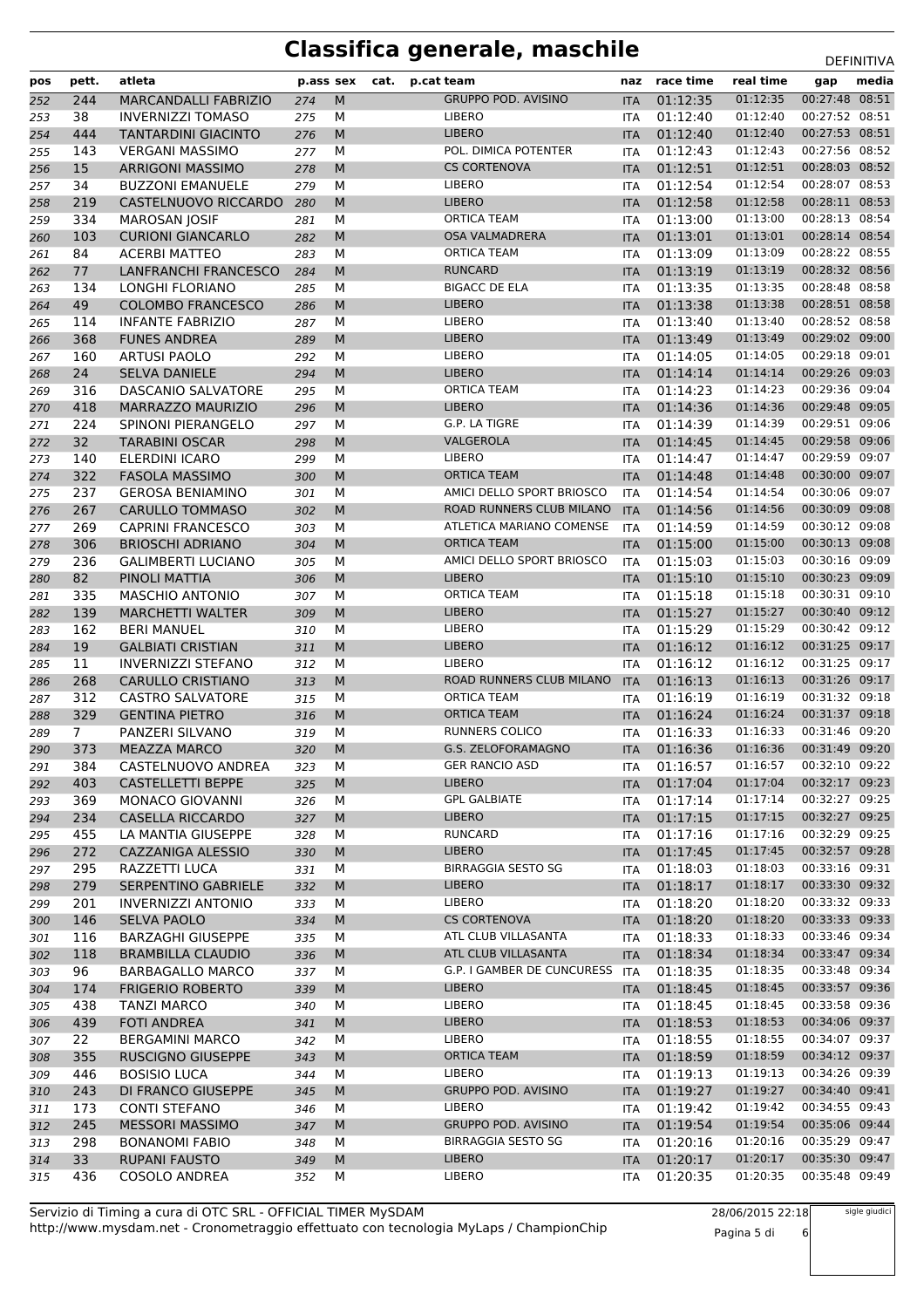| pos        | pett.          | atleta                                     | p.ass sex  |        | cat. | p.cat team                   | naz                      | race time            | real time            | gap                              | media |
|------------|----------------|--------------------------------------------|------------|--------|------|------------------------------|--------------------------|----------------------|----------------------|----------------------------------|-------|
| 252        | 244            | <b>MARCANDALLI FABRIZIO</b>                | 274        | M      |      | <b>GRUPPO POD. AVISINO</b>   | <b>ITA</b>               | 01:12:35             | 01:12:35             | 00:27:48 08:51                   |       |
| 253        | 38             | <b>INVERNIZZI TOMASO</b>                   | 275        | M      |      | LIBERO                       | <b>ITA</b>               | 01:12:40             | 01:12:40             | 00:27:52 08:51                   |       |
| 254        | 444            | <b>TANTARDINI GIACINTO</b>                 | 276        | M      |      | <b>LIBERO</b>                | <b>ITA</b>               | 01:12:40             | 01:12:40             | 00:27:53 08:51                   |       |
| 255        | 143            | <b>VERGANI MASSIMO</b>                     | 277        | M      |      | POL. DIMICA POTENTER         | <b>ITA</b>               | 01:12:43             | 01:12:43             | 00:27:56 08:52                   |       |
| 256        | 15             | <b>ARRIGONI MASSIMO</b>                    | 278        | M      |      | <b>CS CORTENOVA</b>          | <b>ITA</b>               | 01:12:51             | 01:12:51             | 00:28:03 08:52                   |       |
| 257        | 34             | <b>BUZZONI EMANUELE</b>                    | 279        | M      |      | <b>LIBERO</b>                | <b>ITA</b>               | 01:12:54             | 01:12:54             | 00:28:07 08:53                   |       |
| 258        | 219            | CASTELNUOVO RICCARDO                       | 280        | M      |      | <b>LIBERO</b>                | <b>ITA</b>               | 01:12:58             | 01:12:58             | 00:28:11 08:53                   |       |
| 259        | 334            | <b>MAROSAN JOSIF</b>                       | 281        | М      |      | <b>ORTICA TEAM</b>           | <b>ITA</b>               | 01:13:00             | 01:13:00             | 00:28:13 08:54                   |       |
| 260        | 103            | <b>CURIONI GIANCARLO</b>                   | 282        | M      |      | <b>OSA VALMADRERA</b>        | <b>ITA</b>               | 01:13:01             | 01:13:01             | 00:28:14 08:54                   |       |
| 261        | 84             | <b>ACERBI MATTEO</b>                       | 283        | M      |      | <b>ORTICA TEAM</b>           | <b>ITA</b>               | 01:13:09             | 01:13:09             | 00:28:22 08:55                   |       |
| 262        | 77             | <b>LANFRANCHI FRANCESCO</b>                | 284        | M      |      | <b>RUNCARD</b>               | <b>ITA</b>               | 01:13:19             | 01:13:19             | 00:28:32 08:56                   |       |
| 263        | 134            | <b>LONGHI FLORIANO</b>                     | 285        | M      |      | <b>BIGACC DE ELA</b>         | <b>ITA</b>               | 01:13:35             | 01:13:35             | 00:28:48 08:58                   |       |
| 264        | 49             | <b>COLOMBO FRANCESCO</b>                   | 286        | M      |      | <b>LIBERO</b>                | <b>ITA</b>               | 01:13:38             | 01:13:38             | 00:28:51 08:58                   |       |
| 265        | 114            | <b>INFANTE FABRIZIO</b>                    | 287        | М      |      | LIBERO                       | <b>ITA</b>               | 01:13:40             | 01:13:40             | 00:28:52 08:58                   |       |
| 266        | 368            | <b>FUNES ANDREA</b>                        | 289        | M      |      | <b>LIBERO</b>                | <b>ITA</b>               | 01:13:49             | 01:13:49             | 00:29:02 09:00                   |       |
| 267        | 160            | <b>ARTUSI PAOLO</b>                        | 292        | M      |      | LIBERO<br><b>LIBERO</b>      | <b>ITA</b>               | 01:14:05             | 01:14:05<br>01:14:14 | 00:29:18 09:01<br>00:29:26 09:03 |       |
| 268        | 24             | <b>SELVA DANIELE</b>                       | 294        | M      |      | <b>ORTICA TEAM</b>           | <b>ITA</b>               | 01:14:14             | 01:14:23             | 00:29:36 09:04                   |       |
| 269<br>270 | 316<br>418     | DASCANIO SALVATORE<br>MARRAZZO MAURIZIO    | 295<br>296 | M<br>M |      | <b>LIBERO</b>                | <b>ITA</b><br><b>ITA</b> | 01:14:23<br>01:14:36 | 01:14:36             | 00:29:48 09:05                   |       |
|            | 224            | SPINONI PIERANGELO                         |            | М      |      | G.P. LA TIGRE                | <b>ITA</b>               | 01:14:39             | 01:14:39             | 00:29:51 09:06                   |       |
| 271<br>272 | 32             | <b>TARABINI OSCAR</b>                      | 297<br>298 | M      |      | VALGEROLA                    | <b>ITA</b>               | 01:14:45             | 01:14:45             | 00:29:58 09:06                   |       |
| 273        | 140            | ELERDINI ICARO                             | 299        | M      |      | LIBERO                       | <b>ITA</b>               | 01:14:47             | 01:14:47             | 00:29:59 09:07                   |       |
| 274        | 322            | <b>FASOLA MASSIMO</b>                      | 300        | M      |      | <b>ORTICA TEAM</b>           | <b>ITA</b>               | 01:14:48             | 01:14:48             | 00:30:00 09:07                   |       |
| 275        | 237            | <b>GEROSA BENIAMINO</b>                    | 301        | M      |      | AMICI DELLO SPORT BRIOSCO    | <b>ITA</b>               | 01:14:54             | 01:14:54             | 00:30:06 09:07                   |       |
| 276        | 267            | <b>CARULLO TOMMASO</b>                     | 302        | M      |      | ROAD RUNNERS CLUB MILANO     | <b>ITA</b>               | 01:14:56             | 01:14:56             | 00:30:09 09:08                   |       |
| 277        | 269            | <b>CAPRINI FRANCESCO</b>                   | 303        | м      |      | ATLETICA MARIANO COMENSE     | <b>ITA</b>               | 01:14:59             | 01:14:59             | 00:30:12 09:08                   |       |
| 278        | 306            | <b>BRIOSCHI ADRIANO</b>                    | 304        | M      |      | <b>ORTICA TEAM</b>           | <b>ITA</b>               | 01:15:00             | 01:15:00             | 00:30:13 09:08                   |       |
| 279        | 236            | <b>GALIMBERTI LUCIANO</b>                  | 305        | М      |      | AMICI DELLO SPORT BRIOSCO    | <b>ITA</b>               | 01:15:03             | 01:15:03             | 00:30:16 09:09                   |       |
| 280        | 82             | PINOLI MATTIA                              | 306        | M      |      | <b>LIBERO</b>                | <b>ITA</b>               | 01:15:10             | 01:15:10             | 00:30:23 09:09                   |       |
| 281        | 335            | <b>MASCHIO ANTONIO</b>                     | 307        | M      |      | <b>ORTICA TEAM</b>           | <b>ITA</b>               | 01:15:18             | 01:15:18             | 00:30:31 09:10                   |       |
| 282        | 139            | <b>MARCHETTI WALTER</b>                    | 309        | M      |      | <b>LIBERO</b>                | <b>ITA</b>               | 01:15:27             | 01:15:27             | 00:30:40 09:12                   |       |
| 283        | 162            | <b>BERI MANUEL</b>                         | 310        | М      |      | LIBERO                       | <b>ITA</b>               | 01:15:29             | 01:15:29             | 00:30:42 09:12                   |       |
| 284        | 19             | <b>GALBIATI CRISTIAN</b>                   | 311        | M      |      | <b>LIBERO</b>                | <b>ITA</b>               | 01:16:12             | 01:16:12             | 00:31:25 09:17                   |       |
| 285        | 11             | <b>INVERNIZZI STEFANO</b>                  | 312        | М      |      | LIBERO                       | <b>ITA</b>               | 01:16:12             | 01:16:12             | 00:31:25 09:17                   |       |
| 286        | 268            | <b>CARULLO CRISTIANO</b>                   | 313        | M      |      | ROAD RUNNERS CLUB MILANO     | <b>ITA</b>               | 01:16:13             | 01:16:13             | 00:31:26 09:17                   |       |
| 287        | 312            | <b>CASTRO SALVATORE</b>                    | 315        | м      |      | <b>ORTICA TEAM</b>           | <b>ITA</b>               | 01:16:19             | 01:16:19             | 00:31:32 09:18                   |       |
| 288        | 329            | <b>GENTINA PIETRO</b>                      | 316        | M      |      | <b>ORTICA TEAM</b>           | <b>ITA</b>               | 01:16:24             | 01:16:24             | 00:31:37 09:18                   |       |
| 289        | 7 <sup>1</sup> | PANZERI SILVANO                            | 319        | М      |      | RUNNERS COLICO               | <b>ITA</b>               | 01:16:33             | 01:16:33             | 00:31:46 09:20                   |       |
| 290        | 373            | <b>MEAZZA MARCO</b>                        | 320        | M      |      | G.S. ZELOFORAMAGNO           | <b>ITA</b>               | 01:16:36             | 01:16:36             | 00:31:49 09:20                   |       |
| 291        | 384            | CASTELNUOVO ANDREA                         | 323        | M      |      | <b>GER RANCIO ASD</b>        | ITA                      | 01:16:57             | 01:16:57             | 00:32:10 09:22                   |       |
| 292        | 403            | <b>CASTELLETTI BEPPE</b>                   | 325        | M      |      | <b>LIBERO</b>                | <b>ITA</b>               | 01:17:04             | 01:17:04             | 00:32:17 09:23                   |       |
| 293        | 369            | MONACO GIOVANNI                            | 326        | М      |      | <b>GPL GALBIATE</b>          | ITA                      | 01:17:14             | 01:17:14             | 00:32:27 09:25                   |       |
| 294        | 234            | <b>CASELLA RICCARDO</b>                    | 327        | M      |      | <b>LIBERO</b>                | <b>ITA</b>               | 01:17:15             | 01:17:15             | 00:32:27 09:25                   |       |
| 295        | 455            | LA MANTIA GIUSEPPE                         | 328        | М      |      | RUNCARD                      | ITA                      | 01:17:16             | 01:17:16             | 00:32:29 09:25                   |       |
| 296        | 272            | CAZZANIGA ALESSIO                          | 330        | M      |      | <b>LIBERO</b>                | <b>ITA</b>               | 01:17:45             | 01:17:45             | 00:32:57 09:28                   |       |
| 297        | 295            | RAZZETTI LUCA                              | 331        | М      |      | <b>BIRRAGGIA SESTO SG</b>    | ITA                      | 01:18:03             | 01:18:03             | 00:33:16 09:31                   |       |
| 298        | 279            | SERPENTINO GABRIELE                        | 332        | M      |      | <b>LIBERO</b>                | <b>ITA</b>               | 01:18:17             | 01:18:17             | 00:33:30 09:32                   |       |
| 299        | 201            | <b>INVERNIZZI ANTONIO</b>                  | 333        | М      |      | LIBERO                       | ITA                      | 01:18:20             | 01:18:20             | 00:33:32 09:33                   |       |
| 300        | 146            | <b>SELVA PAOLO</b>                         | 334        | M      |      | <b>CS CORTENOVA</b>          | <b>ITA</b>               | 01:18:20             | 01:18:20             | 00:33:33 09:33                   |       |
| 301        | 116            | BARZAGHI GIUSEPPE                          | 335        | м      |      | ATL CLUB VILLASANTA          | <b>ITA</b>               | 01:18:33             | 01:18:33             | 00:33:46 09:34                   |       |
| 302        | 118            | <b>BRAMBILLA CLAUDIO</b>                   | 336        | M      |      | ATL CLUB VILLASANTA          | <b>ITA</b>               | 01:18:34             | 01:18:34             | 00:33:47 09:34                   |       |
| 303        | 96             | <b>BARBAGALLO MARCO</b>                    | 337        | М      |      | G.P. I GAMBER DE CUNCURESS   | ITA                      | 01:18:35             | 01:18:35             | 00:33:48 09:34                   |       |
| 304        | 174            | <b>FRIGERIO ROBERTO</b>                    | 339        | M      |      | <b>LIBERO</b>                | <b>ITA</b>               | 01:18:45             | 01:18:45             | 00:33:57 09:36                   |       |
| 305        | 438            | <b>TANZI MARCO</b>                         | 340        | М      |      | LIBERO                       | ITA                      | 01:18:45             | 01:18:45             | 00:33:58 09:36                   |       |
| 306        | 439            | <b>FOTI ANDREA</b>                         | 341        | M      |      | <b>LIBERO</b><br>LIBERO      | <b>ITA</b>               | 01:18:53             | 01:18:53             | 00:34:06 09:37<br>00:34:07 09:37 |       |
| 307        | 22             | <b>BERGAMINI MARCO</b>                     | 342        | М      |      |                              | <b>ITA</b>               | 01:18:55             | 01:18:55             |                                  |       |
| 308        | 355            | <b>RUSCIGNO GIUSEPPE</b>                   | 343        | M      |      | <b>ORTICA TEAM</b><br>LIBERO | <b>ITA</b>               | 01:18:59             | 01:18:59<br>01:19:13 | 00:34:12 09:37<br>00:34:26 09:39 |       |
| 309        | 446            | <b>BOSISIO LUCA</b>                        | 344        | М<br>M |      | <b>GRUPPO POD. AVISINO</b>   | ITA                      | 01:19:13             | 01:19:27             | 00:34:40 09:41                   |       |
| 310        | 243<br>173     | DI FRANCO GIUSEPPE<br><b>CONTI STEFANO</b> | 345<br>346 | М      |      | <b>LIBERO</b>                | <b>ITA</b>               | 01:19:27<br>01:19:42 | 01:19:42             | 00:34:55 09:43                   |       |
| 311<br>312 | 245            | <b>MESSORI MASSIMO</b>                     | 347        | M      |      | <b>GRUPPO POD. AVISINO</b>   | ITA<br><b>ITA</b>        | 01:19:54             | 01:19:54             | 00:35:06 09:44                   |       |
| 313        | 298            | <b>BONANOMI FABIO</b>                      | 348        | м      |      | <b>BIRRAGGIA SESTO SG</b>    | ITA                      | 01:20:16             | 01:20:16             | 00:35:29 09:47                   |       |
| 314        | 33             | <b>RUPANI FAUSTO</b>                       | 349        | M      |      | <b>LIBERO</b>                | <b>ITA</b>               | 01:20:17             | 01:20:17             | 00:35:30 09:47                   |       |
| 315        | 436            | <b>COSOLO ANDREA</b>                       | 352        | М      |      | LIBERO                       | <b>ITA</b>               | 01:20:35             | 01:20:35             | 00:35:48 09:49                   |       |
|            |                |                                            |            |        |      |                              |                          |                      |                      |                                  |       |

http://www.mysdam.net - Cronometraggio effettuato con tecnologia MyLaps / ChampionChip Servizio di Timing a cura di OTC SRL - OFFICIAL TIMER MySDAM

28/06/2015 22:18 Pagina 5 di 6

sigle giudici